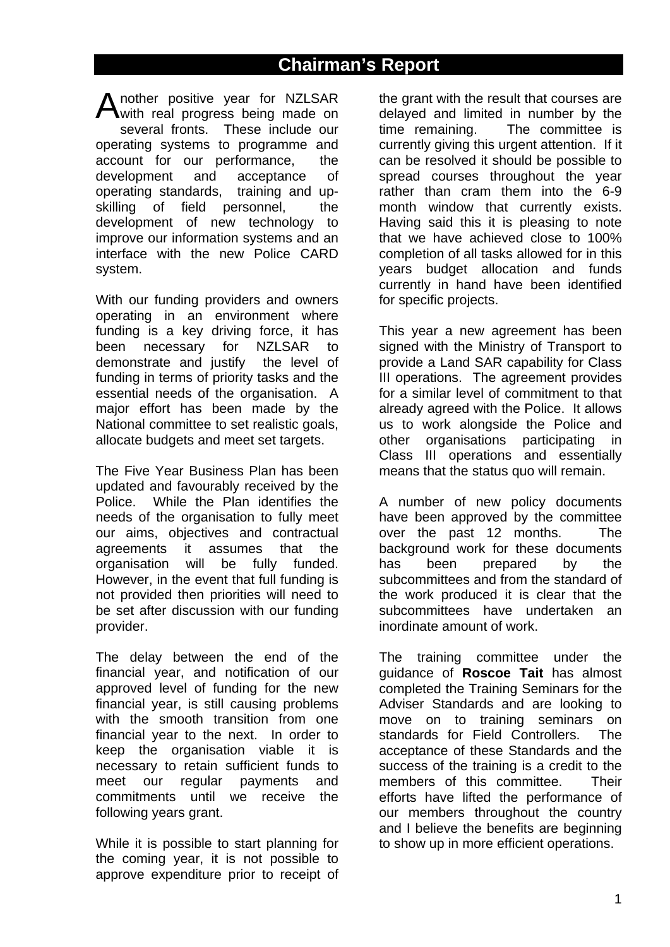# **Chairman's Report**

Another positive year for NZLSAR<br>with real progress being made on with real progress being made on several fronts. These include our operating systems to programme and account for our performance, the development and acceptance of operating standards, training and upskilling of field personnel, the development of new technology to improve our information systems and an interface with the new Police CARD system.

With our funding providers and owners operating in an environment where funding is a key driving force, it has been necessary for NZLSAR to demonstrate and justify the level of funding in terms of priority tasks and the essential needs of the organisation. A major effort has been made by the National committee to set realistic goals, allocate budgets and meet set targets.

The Five Year Business Plan has been updated and favourably received by the Police. While the Plan identifies the needs of the organisation to fully meet our aims, objectives and contractual agreements it assumes that the organisation will be fully funded. However, in the event that full funding is not provided then priorities will need to be set after discussion with our funding provider.

The delay between the end of the financial year, and notification of our approved level of funding for the new financial year, is still causing problems with the smooth transition from one financial year to the next. In order to keep the organisation viable it is necessary to retain sufficient funds to meet our regular payments and commitments until we receive the following years grant.

While it is possible to start planning for the coming year, it is not possible to approve expenditure prior to receipt of

the grant with the result that courses are delayed and limited in number by the time remaining. The committee is currently giving this urgent attention. If it can be resolved it should be possible to spread courses throughout the year rather than cram them into the 6-9 month window that currently exists. Having said this it is pleasing to note that we have achieved close to 100% completion of all tasks allowed for in this years budget allocation and funds currently in hand have been identified for specific projects.

This year a new agreement has been signed with the Ministry of Transport to provide a Land SAR capability for Class III operations. The agreement provides for a similar level of commitment to that already agreed with the Police. It allows us to work alongside the Police and other organisations participating in Class III operations and essentially means that the status quo will remain.

A number of new policy documents have been approved by the committee over the past 12 months. The background work for these documents has been prepared by the subcommittees and from the standard of the work produced it is clear that the subcommittees have undertaken an inordinate amount of work.

The training committee under the guidance of **Roscoe Tait** has almost completed the Training Seminars for the Adviser Standards and are looking to move on to training seminars on standards for Field Controllers. The acceptance of these Standards and the success of the training is a credit to the members of this committee. Their efforts have lifted the performance of our members throughout the country and I believe the benefits are beginning to show up in more efficient operations.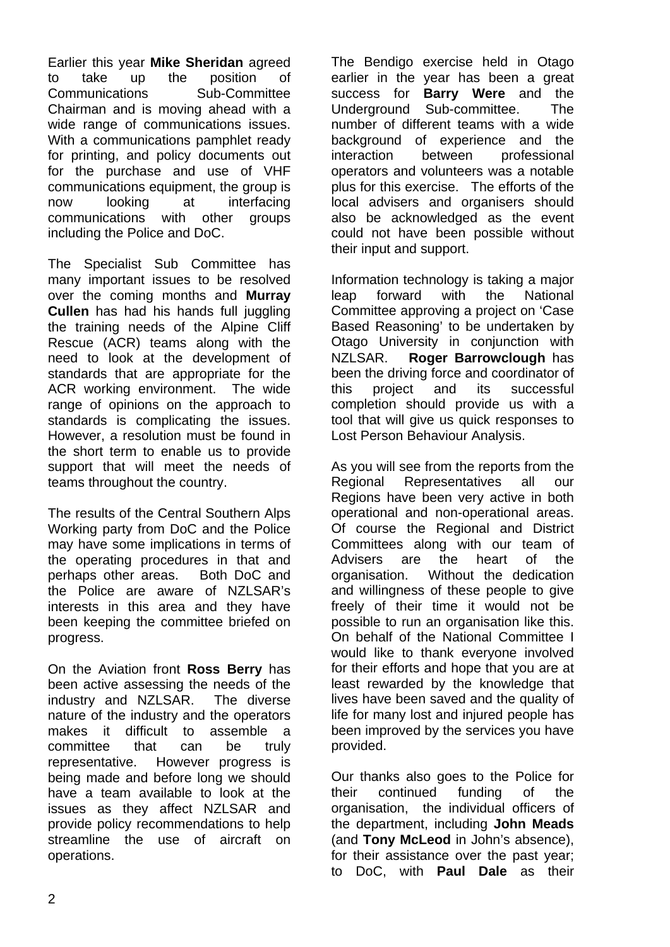Earlier this year **Mike Sheridan** agreed to take up the position of Communications Sub-Committee Chairman and is moving ahead with a wide range of communications issues. With a communications pamphlet ready for printing, and policy documents out for the purchase and use of VHF communications equipment, the group is now looking at interfacing communications with other groups including the Police and DoC.

The Specialist Sub Committee has many important issues to be resolved over the coming months and **Murray Cullen** has had his hands full juggling the training needs of the Alpine Cliff Rescue (ACR) teams along with the need to look at the development of standards that are appropriate for the ACR working environment. The wide range of opinions on the approach to standards is complicating the issues. However, a resolution must be found in the short term to enable us to provide support that will meet the needs of teams throughout the country.

The results of the Central Southern Alps Working party from DoC and the Police may have some implications in terms of the operating procedures in that and perhaps other areas. Both DoC and the Police are aware of NZLSAR's interests in this area and they have been keeping the committee briefed on progress.

On the Aviation front **Ross Berry** has been active assessing the needs of the industry and NZLSAR. The diverse nature of the industry and the operators makes it difficult to assemble a committee that can be truly representative. However progress is being made and before long we should have a team available to look at the issues as they affect NZLSAR and provide policy recommendations to help streamline the use of aircraft on operations.

The Bendigo exercise held in Otago earlier in the year has been a great success for **Barry Were** and the Underground Sub-committee. The number of different teams with a wide background of experience and the interaction between professional operators and volunteers was a notable plus for this exercise. The efforts of the local advisers and organisers should also be acknowledged as the event could not have been possible without their input and support.

Information technology is taking a major leap forward with the National Committee approving a project on 'Case Based Reasoning' to be undertaken by Otago University in conjunction with NZLSAR. **Roger Barrowclough** has been the driving force and coordinator of this project and its successful completion should provide us with a tool that will give us quick responses to Lost Person Behaviour Analysis.

As you will see from the reports from the Regional Representatives all our Regions have been very active in both operational and non-operational areas. Of course the Regional and District Committees along with our team of Advisers are the heart of the organisation. Without the dedication and willingness of these people to give freely of their time it would not be possible to run an organisation like this. On behalf of the National Committee I would like to thank everyone involved for their efforts and hope that you are at least rewarded by the knowledge that lives have been saved and the quality of life for many lost and injured people has been improved by the services you have provided.

Our thanks also goes to the Police for their continued funding of the organisation, the individual officers of the department, including **John Meads**  (and **Tony McLeod** in John's absence), for their assistance over the past year; to DoC, with **Paul Dale** as their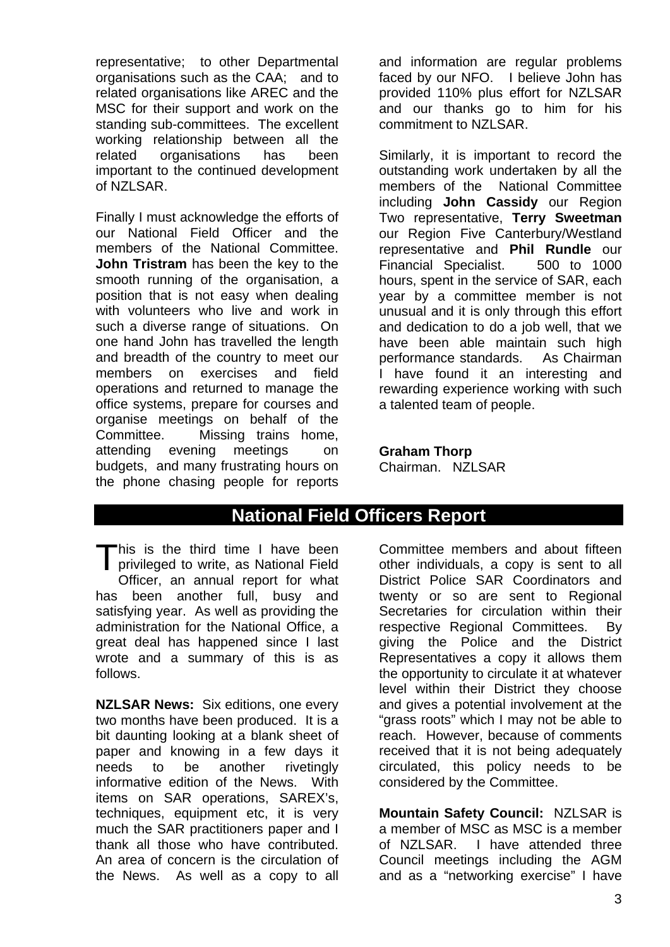representative; to other Departmental organisations such as the CAA; and to related organisations like AREC and the MSC for their support and work on the standing sub-committees. The excellent working relationship between all the related organisations has been important to the continued development of NZLSAR.

Finally I must acknowledge the efforts of our National Field Officer and the members of the National Committee. **John Tristram** has been the key to the smooth running of the organisation, a position that is not easy when dealing with volunteers who live and work in such a diverse range of situations. On one hand John has travelled the length and breadth of the country to meet our members on exercises and field operations and returned to manage the office systems, prepare for courses and organise meetings on behalf of the Committee. Missing trains home, attending evening meetings on budgets, and many frustrating hours on the phone chasing people for reports

and information are regular problems faced by our NFO. I believe John has provided 110% plus effort for NZLSAR and our thanks go to him for his commitment to NZLSAR.

Similarly, it is important to record the outstanding work undertaken by all the members of the National Committee including **John Cassidy** our Region Two representative, **Terry Sweetman** our Region Five Canterbury/Westland representative and **Phil Rundle** our Financial Specialist. 500 to 1000 hours, spent in the service of SAR, each year by a committee member is not unusual and it is only through this effort and dedication to do a job well, that we have been able maintain such high performance standards. As Chairman I have found it an interesting and rewarding experience working with such a talented team of people.

## **Graham Thorp**

Chairman. NZLSAR

# **National Field Officers Report**

This is the third time I have been<br>privileged to write, as National Field privileged to write, as National Field Officer, an annual report for what has been another full, busy and satisfying year. As well as providing the administration for the National Office, a great deal has happened since I last wrote and a summary of this is as follows.

**NZLSAR News:** Six editions, one every two months have been produced. It is a bit daunting looking at a blank sheet of paper and knowing in a few days it needs to be another rivetingly informative edition of the News. With items on SAR operations, SAREX's, techniques, equipment etc, it is very much the SAR practitioners paper and I thank all those who have contributed. An area of concern is the circulation of the News. As well as a copy to all

Committee members and about fifteen other individuals, a copy is sent to all District Police SAR Coordinators and twenty or so are sent to Regional Secretaries for circulation within their respective Regional Committees. By giving the Police and the District Representatives a copy it allows them the opportunity to circulate it at whatever level within their District they choose and gives a potential involvement at the "grass roots" which I may not be able to reach. However, because of comments received that it is not being adequately circulated, this policy needs to be considered by the Committee.

**Mountain Safety Council:** NZLSAR is a member of MSC as MSC is a member of NZLSAR. I have attended three Council meetings including the AGM and as a "networking exercise" I have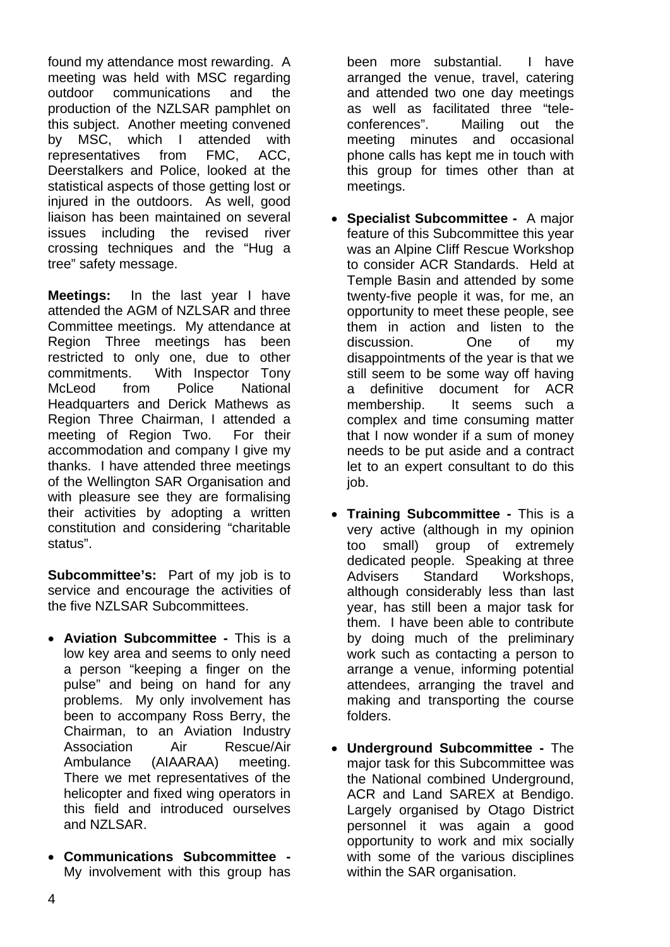found my attendance most rewarding. A meeting was held with MSC regarding outdoor communications and the production of the NZLSAR pamphlet on this subject. Another meeting convened by MSC, which I attended with representatives from FMC, ACC, Deerstalkers and Police, looked at the statistical aspects of those getting lost or injured in the outdoors. As well, good liaison has been maintained on several issues including the revised river crossing techniques and the "Hug a tree" safety message.

**Meetings:** In the last year I have attended the AGM of NZLSAR and three Committee meetings. My attendance at Region Three meetings has been restricted to only one, due to other commitments. With Inspector Tony McLeod from Police National Headquarters and Derick Mathews as Region Three Chairman, I attended a meeting of Region Two. For their accommodation and company I give my thanks. I have attended three meetings of the Wellington SAR Organisation and with pleasure see they are formalising their activities by adopting a written constitution and considering "charitable status".

**Subcommittee's:** Part of my job is to service and encourage the activities of the five NZLSAR Subcommittees.

- **Aviation Subcommittee** This is a low key area and seems to only need a person "keeping a finger on the pulse" and being on hand for any problems. My only involvement has been to accompany Ross Berry, the Chairman, to an Aviation Industry Association Air Rescue/Air Ambulance (AIAARAA) meeting. There we met representatives of the helicopter and fixed wing operators in this field and introduced ourselves and N7LSAR.
- **Communications Subcommittee**  My involvement with this group has

been more substantial. I have arranged the venue, travel, catering and attended two one day meetings as well as facilitated three "teleconferences". Mailing out the meeting minutes and occasional phone calls has kept me in touch with this group for times other than at meetings.

- **Specialist Subcommittee** A major feature of this Subcommittee this year was an Alpine Cliff Rescue Workshop to consider ACR Standards. Held at Temple Basin and attended by some twenty-five people it was, for me, an opportunity to meet these people, see them in action and listen to the discussion. One of my disappointments of the year is that we still seem to be some way off having a definitive document for ACR membership. It seems such a complex and time consuming matter that I now wonder if a sum of money needs to be put aside and a contract let to an expert consultant to do this job.
- **Training Subcommittee** This is a very active (although in my opinion too small) group of extremely dedicated people. Speaking at three Advisers Standard Workshops, although considerably less than last year, has still been a major task for them. I have been able to contribute by doing much of the preliminary work such as contacting a person to arrange a venue, informing potential attendees, arranging the travel and making and transporting the course folders.
- **Underground Subcommittee** The major task for this Subcommittee was the National combined Underground, ACR and Land SAREX at Bendigo. Largely organised by Otago District personnel it was again a good opportunity to work and mix socially with some of the various disciplines within the SAR organisation.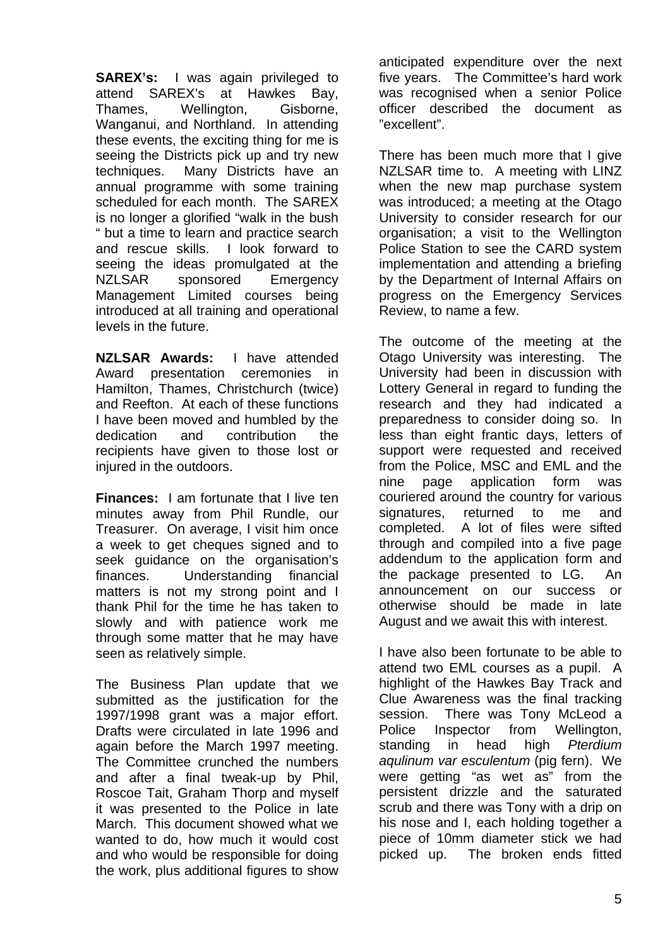**SAREX's:** I was again privileged to attend SAREX's at Hawkes Bay, Thames, Wellington, Gisborne, Wanganui, and Northland. In attending these events, the exciting thing for me is seeing the Districts pick up and try new techniques. Many Districts have an annual programme with some training scheduled for each month. The SAREX is no longer a glorified "walk in the bush " but a time to learn and practice search and rescue skills. I look forward to seeing the ideas promulgated at the NZLSAR sponsored Emergency Management Limited courses being introduced at all training and operational levels in the future.

**NZLSAR Awards:** I have attended Award presentation ceremonies in Hamilton, Thames, Christchurch (twice) and Reefton. At each of these functions I have been moved and humbled by the dedication and contribution the recipients have given to those lost or injured in the outdoors.

**Finances:** I am fortunate that I live ten minutes away from Phil Rundle, our Treasurer. On average, I visit him once a week to get cheques signed and to seek guidance on the organisation's finances. Understanding financial matters is not my strong point and I thank Phil for the time he has taken to slowly and with patience work me through some matter that he may have seen as relatively simple.

The Business Plan update that we submitted as the justification for the 1997/1998 grant was a major effort. Drafts were circulated in late 1996 and again before the March 1997 meeting. The Committee crunched the numbers and after a final tweak-up by Phil, Roscoe Tait, Graham Thorp and myself it was presented to the Police in late March. This document showed what we wanted to do, how much it would cost and who would be responsible for doing the work, plus additional figures to show anticipated expenditure over the next five years. The Committee's hard work was recognised when a senior Police officer described the document as "excellent".

There has been much more that I give NZLSAR time to. A meeting with LINZ when the new map purchase system was introduced; a meeting at the Otago University to consider research for our organisation; a visit to the Wellington Police Station to see the CARD system implementation and attending a briefing by the Department of Internal Affairs on progress on the Emergency Services Review, to name a few.

The outcome of the meeting at the Otago University was interesting. The University had been in discussion with Lottery General in regard to funding the research and they had indicated a preparedness to consider doing so. In less than eight frantic days, letters of support were requested and received from the Police, MSC and EML and the nine page application form was couriered around the country for various signatures, returned to me and completed. A lot of files were sifted through and compiled into a five page addendum to the application form and the package presented to LG. An announcement on our success or otherwise should be made in late August and we await this with interest.

I have also been fortunate to be able to attend two EML courses as a pupil. A highlight of the Hawkes Bay Track and Clue Awareness was the final tracking session. There was Tony McLeod a Police Inspector from Wellington, standing in head high *Pterdium aqulinum var esculentum* (pig fern). We were getting "as wet as" from the persistent drizzle and the saturated scrub and there was Tony with a drip on his nose and I, each holding together a piece of 10mm diameter stick we had picked up. The broken ends fitted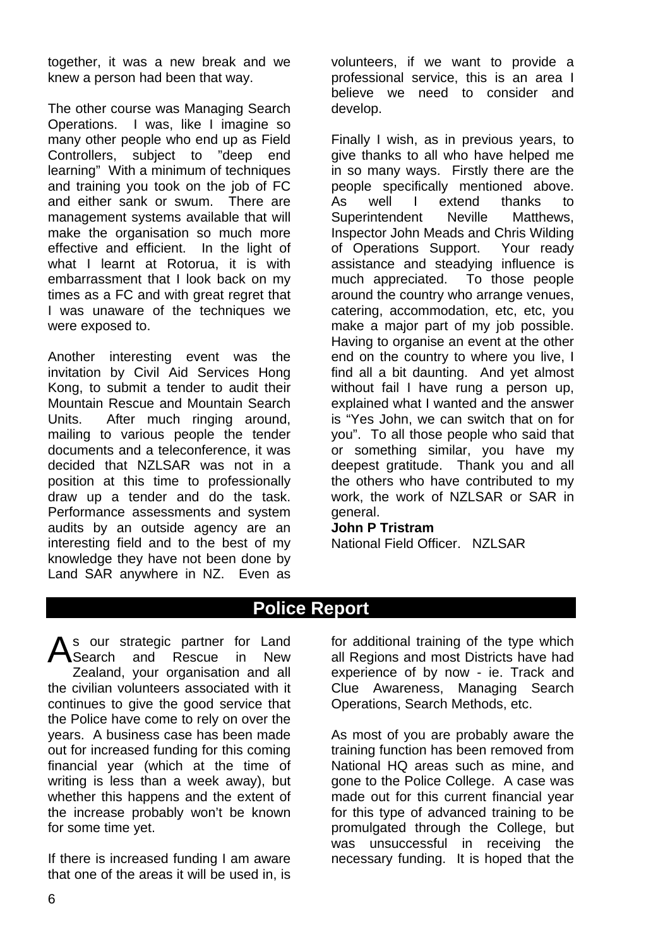together, it was a new break and we knew a person had been that way.

The other course was Managing Search Operations. I was, like I imagine so many other people who end up as Field Controllers, subject to "deep end learning" With a minimum of techniques and training you took on the job of FC and either sank or swum. There are management systems available that will make the organisation so much more effective and efficient. In the light of what I learnt at Rotorua, it is with embarrassment that I look back on my times as a FC and with great regret that I was unaware of the techniques we were exposed to.

Another interesting event was the invitation by Civil Aid Services Hong Kong, to submit a tender to audit their Mountain Rescue and Mountain Search Units. After much ringing around, mailing to various people the tender documents and a teleconference, it was decided that NZLSAR was not in a position at this time to professionally draw up a tender and do the task. Performance assessments and system audits by an outside agency are an interesting field and to the best of my knowledge they have not been done by Land SAR anywhere in NZ. Even as

volunteers, if we want to provide a professional service, this is an area I believe we need to consider and develop.

Finally I wish, as in previous years, to give thanks to all who have helped me in so many ways. Firstly there are the people specifically mentioned above. As well I extend thanks to Superintendent Neville Matthews, Inspector John Meads and Chris Wilding of Operations Support. Your ready assistance and steadying influence is much appreciated. To those people around the country who arrange venues, catering, accommodation, etc, etc, you make a major part of my job possible. Having to organise an event at the other end on the country to where you live, I find all a bit daunting. And yet almost without fail I have rung a person up. explained what I wanted and the answer is "Yes John, we can switch that on for you". To all those people who said that or something similar, you have my deepest gratitude. Thank you and all the others who have contributed to my work, the work of NZLSAR or SAR in general.

#### **John P Tristram**

National Field Officer. NZLSAR

# **Police Report**

As our strategic partner for Land<br>
Search and Rescue in New Search and Rescue in New Zealand, your organisation and all the civilian volunteers associated with it continues to give the good service that the Police have come to rely on over the years. A business case has been made out for increased funding for this coming financial year (which at the time of writing is less than a week away), but whether this happens and the extent of the increase probably won't be known for some time yet.

If there is increased funding I am aware that one of the areas it will be used in, is for additional training of the type which all Regions and most Districts have had experience of by now - ie. Track and Clue Awareness, Managing Search Operations, Search Methods, etc.

As most of you are probably aware the training function has been removed from National HQ areas such as mine, and gone to the Police College. A case was made out for this current financial year for this type of advanced training to be promulgated through the College, but was unsuccessful in receiving the necessary funding. It is hoped that the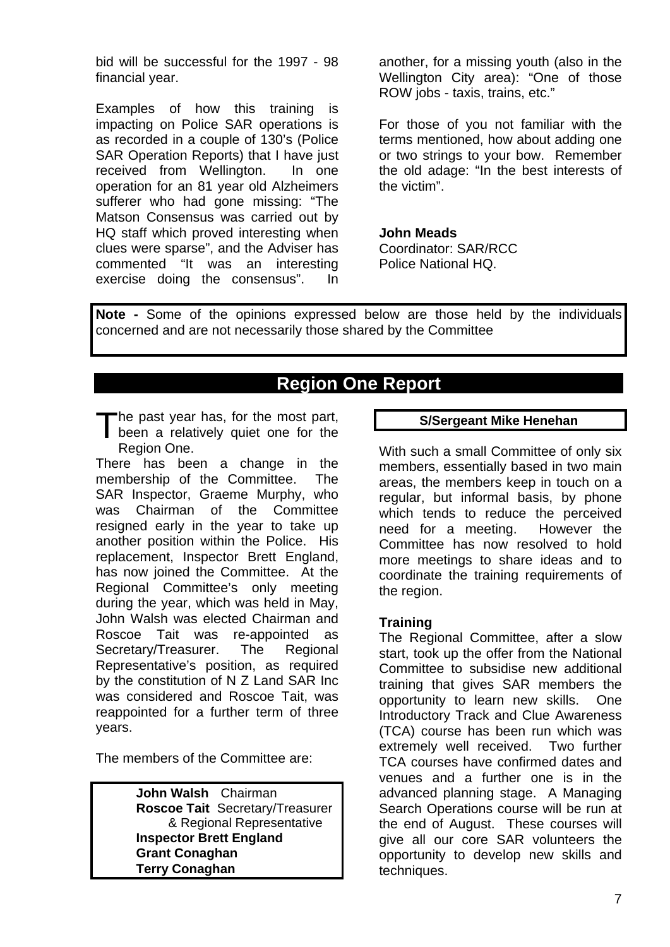bid will be successful for the 1997 - 98 financial year.

Examples of how this training is impacting on Police SAR operations is as recorded in a couple of 130's (Police SAR Operation Reports) that I have just received from Wellington. In one operation for an 81 year old Alzheimers sufferer who had gone missing: "The Matson Consensus was carried out by HQ staff which proved interesting when clues were sparse", and the Adviser has commented "It was an interesting exercise doing the consensus". In

another, for a missing youth (also in the Wellington City area): "One of those ROW jobs - taxis, trains, etc."

For those of you not familiar with the terms mentioned, how about adding one or two strings to your bow. Remember the old adage: "In the best interests of the victim".

#### **John Meads**

Coordinator: SAR/RCC Police National HQ.

**Note -** Some of the opinions expressed below are those held by the individuals concerned and are not necessarily those shared by the Committee

# **Region One Report**

The past year has, for the most part, The past year has, for the most part,<br>been a relatively quiet one for the Region One.

There has been a change in the membership of the Committee. The SAR Inspector, Graeme Murphy, who was Chairman of the Committee resigned early in the year to take up another position within the Police. His replacement, Inspector Brett England, has now joined the Committee. At the Regional Committee's only meeting during the year, which was held in May, John Walsh was elected Chairman and Roscoe Tait was re-appointed as Secretary/Treasurer. The Regional Representative's position, as required by the constitution of N Z Land SAR Inc was considered and Roscoe Tait, was reappointed for a further term of three years.

The members of the Committee are:

**John Walsh** Chairman **Roscoe Tait** Secretary/Treasurer & Regional Representative **Inspector Brett England Grant Conaghan Terry Conaghan**

#### **S/Sergeant Mike Henehan**

With such a small Committee of only six members, essentially based in two main areas, the members keep in touch on a regular, but informal basis, by phone which tends to reduce the perceived need for a meeting. However the Committee has now resolved to hold more meetings to share ideas and to coordinate the training requirements of the region.

#### **Training**

The Regional Committee, after a slow start, took up the offer from the National Committee to subsidise new additional training that gives SAR members the opportunity to learn new skills. One Introductory Track and Clue Awareness (TCA) course has been run which was extremely well received. Two further TCA courses have confirmed dates and venues and a further one is in the advanced planning stage. A Managing Search Operations course will be run at the end of August. These courses will give all our core SAR volunteers the opportunity to develop new skills and techniques.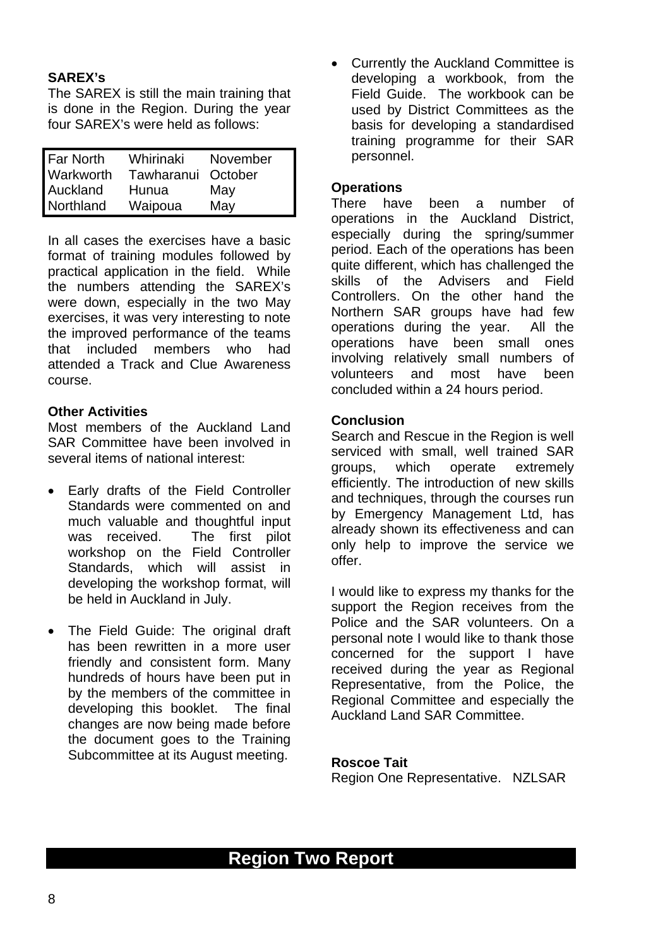## **SAREX's**

The SAREX is still the main training that is done in the Region. During the year four SAREX's were held as follows:

| <b>Far North</b> | Whirinaki  | November |
|------------------|------------|----------|
| Warkworth        | Tawharanui | October  |
| Auckland         | Hunua      | May      |
| Northland        | Waipoua    | May      |

In all cases the exercises have a basic format of training modules followed by practical application in the field. While the numbers attending the SAREX's were down, especially in the two May exercises, it was very interesting to note the improved performance of the teams that included members who had attended a Track and Clue Awareness course.

#### **Other Activities**

Most members of the Auckland Land SAR Committee have been involved in several items of national interest:

- Early drafts of the Field Controller Standards were commented on and much valuable and thoughtful input was received. The first pilot workshop on the Field Controller Standards, which will assist in developing the workshop format, will be held in Auckland in July.
- The Field Guide: The original draft has been rewritten in a more user friendly and consistent form. Many hundreds of hours have been put in by the members of the committee in developing this booklet. The final changes are now being made before the document goes to the Training Subcommittee at its August meeting.

• Currently the Auckland Committee is developing a workbook, from the Field Guide. The workbook can be used by District Committees as the basis for developing a standardised training programme for their SAR personnel.

#### **Operations**

There have been a number of operations in the Auckland District, especially during the spring/summer period. Each of the operations has been quite different, which has challenged the skills of the Advisers and Field Controllers. On the other hand the Northern SAR groups have had few operations during the year. All the operations have been small ones involving relatively small numbers of volunteers and most have been concluded within a 24 hours period.

#### **Conclusion**

Search and Rescue in the Region is well serviced with small, well trained SAR groups, which operate extremely efficiently. The introduction of new skills and techniques, through the courses run by Emergency Management Ltd, has already shown its effectiveness and can only help to improve the service we offer.

I would like to express my thanks for the support the Region receives from the Police and the SAR volunteers. On a personal note I would like to thank those concerned for the support I have received during the year as Regional Representative, from the Police, the Regional Committee and especially the Auckland Land SAR Committee.

#### **Roscoe Tait**

Region One Representative. NZLSAR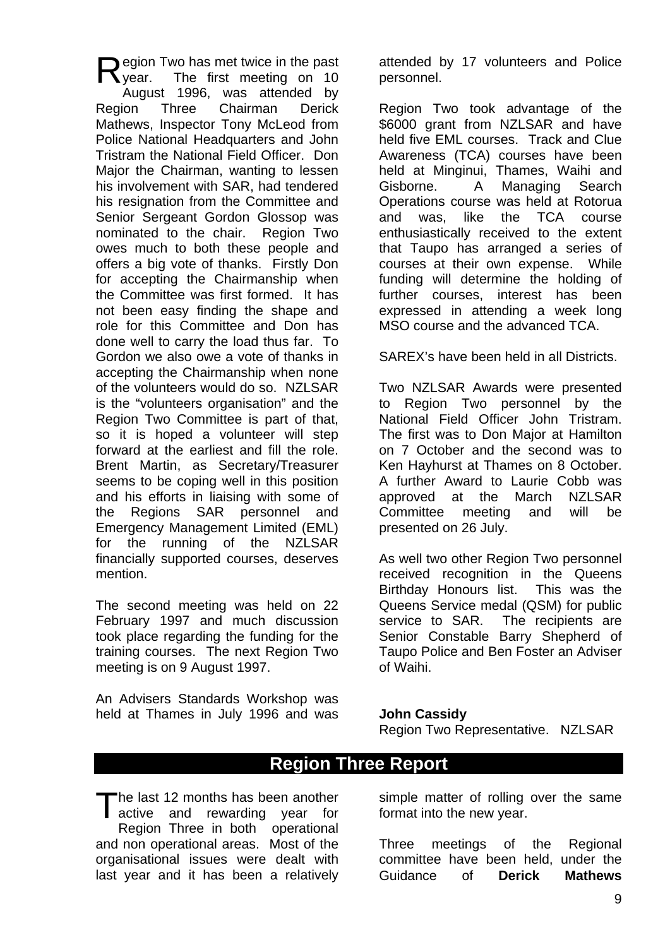egion Two has met twice in the past The first meeting on 10 August 1996, was attended by Region Three Chairman Derick Mathews, Inspector Tony McLeod from Police National Headquarters and John Tristram the National Field Officer. Don Major the Chairman, wanting to lessen his involvement with SAR, had tendered his resignation from the Committee and Senior Sergeant Gordon Glossop was nominated to the chair. Region Two owes much to both these people and offers a big vote of thanks. Firstly Don for accepting the Chairmanship when the Committee was first formed. It has not been easy finding the shape and role for this Committee and Don has done well to carry the load thus far. To Gordon we also owe a vote of thanks in accepting the Chairmanship when none of the volunteers would do so. NZLSAR is the "volunteers organisation" and the Region Two Committee is part of that, so it is hoped a volunteer will step forward at the earliest and fill the role. Brent Martin, as Secretary/Treasurer seems to be coping well in this position and his efforts in liaising with some of the Regions SAR personnel and Emergency Management Limited (EML) for the running of the NZLSAR financially supported courses, deserves mention. vear.

The second meeting was held on 22 February 1997 and much discussion took place regarding the funding for the training courses. The next Region Two meeting is on 9 August 1997.

An Advisers Standards Workshop was held at Thames in July 1996 and was attended by 17 volunteers and Police personnel.

Region Two took advantage of the \$6000 grant from NZLSAR and have held five EML courses. Track and Clue Awareness (TCA) courses have been held at Minginui, Thames, Waihi and Gisborne. A Managing Search Operations course was held at Rotorua and was, like the TCA course enthusiastically received to the extent that Taupo has arranged a series of courses at their own expense. While funding will determine the holding of further courses, interest has been expressed in attending a week long MSO course and the advanced TCA.

SAREX's have been held in all Districts.

Two NZLSAR Awards were presented to Region Two personnel by the National Field Officer John Tristram. The first was to Don Major at Hamilton on 7 October and the second was to Ken Hayhurst at Thames on 8 October. A further Award to Laurie Cobb was approved at the March NZLSAR Committee meeting and will be presented on 26 July.

As well two other Region Two personnel received recognition in the Queens Birthday Honours list. This was the Queens Service medal (QSM) for public service to SAR. The recipients are Senior Constable Barry Shepherd of Taupo Police and Ben Foster an Adviser of Waihi.

#### **John Cassidy**

Region Two Representative. NZLSAR

# **Region Three Report**

The last 12 months has been another The last 12 months has been another<br>active and rewarding year for Region Three in both operational and non operational areas. Most of the organisational issues were dealt with last year and it has been a relatively

simple matter of rolling over the same format into the new year.

Three meetings of the Regional committee have been held, under the Guidance of **Derick Mathews**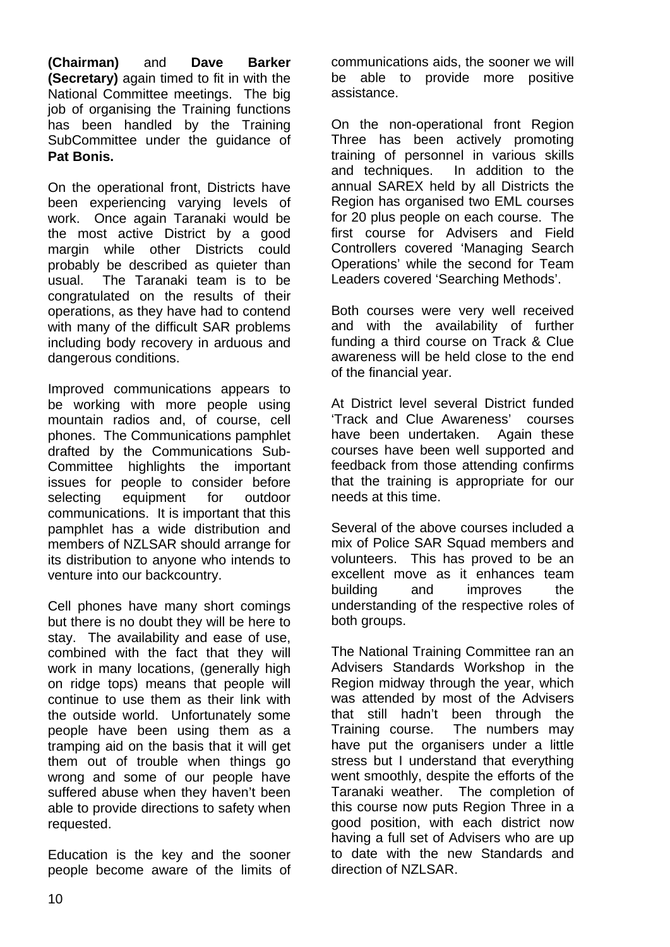**(Chairman)** and **Dave Barker (Secretary)** again timed to fit in with the National Committee meetings. The big job of organising the Training functions has been handled by the Training SubCommittee under the guidance of **Pat Bonis.** 

On the operational front, Districts have been experiencing varying levels of work. Once again Taranaki would be the most active District by a good margin while other Districts could probably be described as quieter than usual. The Taranaki team is to be congratulated on the results of their operations, as they have had to contend with many of the difficult SAR problems including body recovery in arduous and dangerous conditions.

Improved communications appears to be working with more people using mountain radios and, of course, cell phones. The Communications pamphlet drafted by the Communications Sub-Committee highlights the important issues for people to consider before selecting equipment for outdoor communications. It is important that this pamphlet has a wide distribution and members of NZLSAR should arrange for its distribution to anyone who intends to venture into our backcountry.

Cell phones have many short comings but there is no doubt they will be here to stay. The availability and ease of use, combined with the fact that they will work in many locations, (generally high on ridge tops) means that people will continue to use them as their link with the outside world. Unfortunately some people have been using them as a tramping aid on the basis that it will get them out of trouble when things go wrong and some of our people have suffered abuse when they haven't been able to provide directions to safety when requested.

Education is the key and the sooner people become aware of the limits of communications aids, the sooner we will be able to provide more positive assistance.

On the non-operational front Region Three has been actively promoting training of personnel in various skills and techniques. In addition to the annual SAREX held by all Districts the Region has organised two EML courses for 20 plus people on each course. The first course for Advisers and Field Controllers covered 'Managing Search Operations' while the second for Team Leaders covered 'Searching Methods'.

Both courses were very well received and with the availability of further funding a third course on Track & Clue awareness will be held close to the end of the financial year.

At District level several District funded 'Track and Clue Awareness' courses have been undertaken. Again these courses have been well supported and feedback from those attending confirms that the training is appropriate for our needs at this time.

Several of the above courses included a mix of Police SAR Squad members and volunteers. This has proved to be an excellent move as it enhances team building and improves the understanding of the respective roles of both groups.

The National Training Committee ran an Advisers Standards Workshop in the Region midway through the year, which was attended by most of the Advisers that still hadn't been through the Training course. The numbers may have put the organisers under a little stress but I understand that everything went smoothly, despite the efforts of the Taranaki weather. The completion of this course now puts Region Three in a good position, with each district now having a full set of Advisers who are up to date with the new Standards and direction of NZLSAR.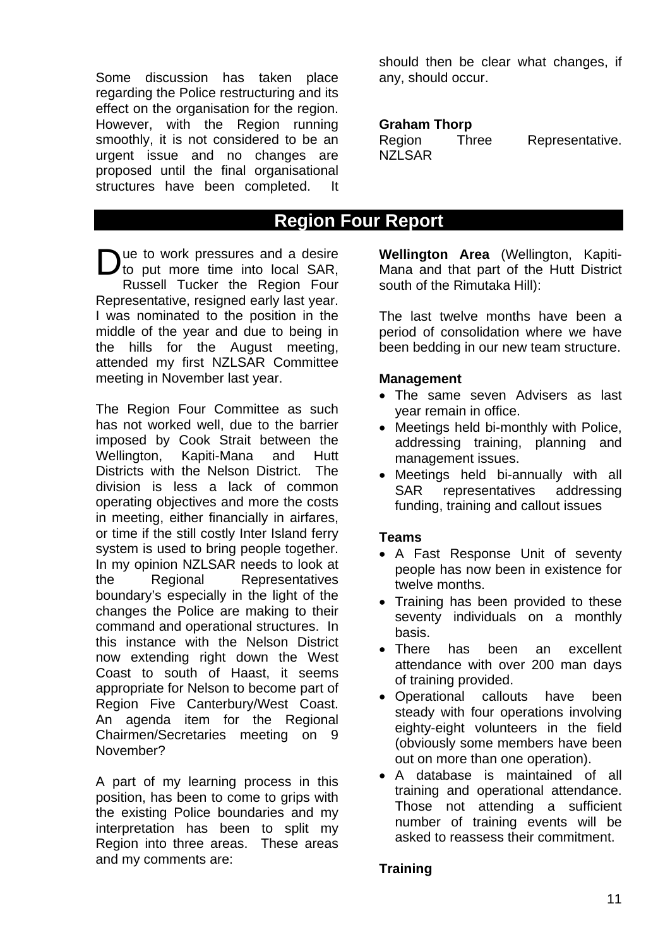Some discussion has taken place regarding the Police restructuring and its effect on the organisation for the region. However, with the Region running smoothly, it is not considered to be an urgent issue and no changes are proposed until the final organisational structures have been completed. It

ue to work pressures and a desire Due to work pressures and a desire<br>to put more time into local SAR, Russell Tucker the Region Four Representative, resigned early last year. I was nominated to the position in the middle of the year and due to being in the hills for the August meeting, attended my first NZLSAR Committee meeting in November last year.

The Region Four Committee as such has not worked well, due to the barrier imposed by Cook Strait between the Wellington, Kapiti-Mana and Hutt Districts with the Nelson District. The division is less a lack of common operating objectives and more the costs in meeting, either financially in airfares, or time if the still costly Inter Island ferry system is used to bring people together. In my opinion NZLSAR needs to look at the Regional Representatives boundary's especially in the light of the changes the Police are making to their command and operational structures. In this instance with the Nelson District now extending right down the West Coast to south of Haast, it seems appropriate for Nelson to become part of Region Five Canterbury/West Coast. An agenda item for the Regional Chairmen/Secretaries meeting on 9 November?

A part of my learning process in this position, has been to come to grips with the existing Police boundaries and my interpretation has been to split my Region into three areas. These areas and my comments are:

should then be clear what changes, if any, should occur.

### **Graham Thorp**

| Region        | <b>Three</b> | Representative. |
|---------------|--------------|-----------------|
| <b>NZLSAR</b> |              |                 |

## **Region Four Report**

**Wellington Area** (Wellington, Kapiti-Mana and that part of the Hutt District south of the Rimutaka Hill):

The last twelve months have been a period of consolidation where we have been bedding in our new team structure.

## **Management**

- The same seven Advisers as last year remain in office.
- Meetings held bi-monthly with Police, addressing training, planning and management issues.
- Meetings held bi-annually with all SAR representatives addressing funding, training and callout issues

## **Teams**

- A Fast Response Unit of seventy people has now been in existence for twelve months.
- Training has been provided to these seventy individuals on a monthly basis.
- There has been an excellent attendance with over 200 man days of training provided.
- Operational callouts have been steady with four operations involving eighty-eight volunteers in the field (obviously some members have been out on more than one operation).
- A database is maintained of all training and operational attendance. Those not attending a sufficient number of training events will be asked to reassess their commitment.

## **Training**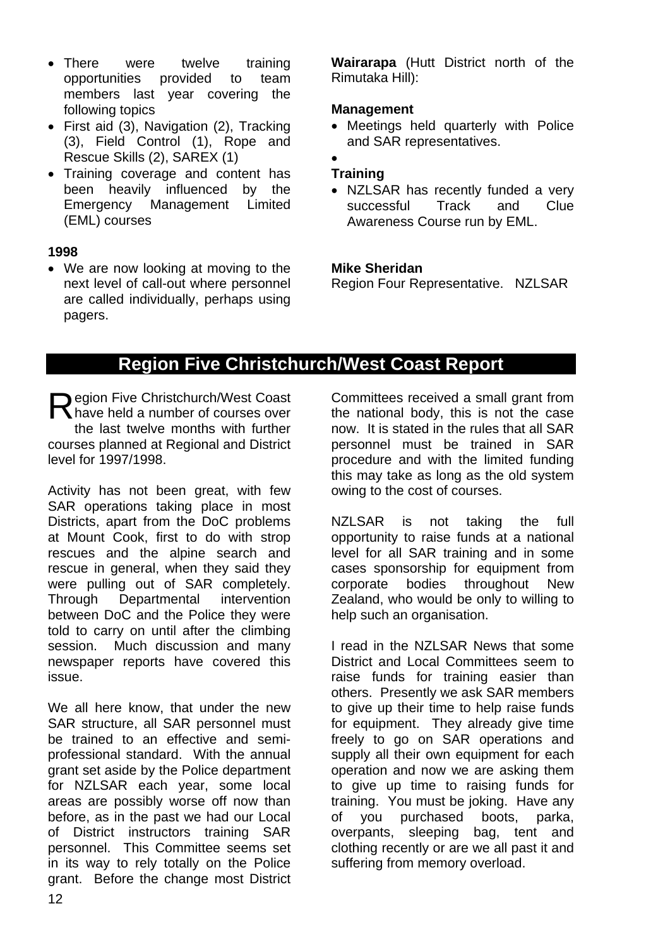- There were twelve training opportunities provided to team members last year covering the following topics
- First aid (3), Navigation (2), Tracking (3), Field Control (1), Rope and Rescue Skills (2), SAREX (1)
- Training coverage and content has been heavily influenced by the Emergency Management Limited (EML) courses

#### **1998**

• We are now looking at moving to the next level of call-out where personnel are called individually, perhaps using pagers.

**Wairarapa** (Hutt District north of the Rimutaka Hill):

### **Management**

• Meetings held quarterly with Police and SAR representatives.

#### • **Training**

• NZLSAR has recently funded a very successful Track and Clue Awareness Course run by EML.

## **Mike Sheridan**

Region Four Representative. NZLSAR

# **Region Five Christchurch/West Coast Report**

Region Five Christchurch/West Coast<br>
Nave held a number of courses over have held a number of courses over the last twelve months with further courses planned at Regional and District level for 1997/1998.

Activity has not been great, with few SAR operations taking place in most Districts, apart from the DoC problems at Mount Cook, first to do with strop rescues and the alpine search and rescue in general, when they said they were pulling out of SAR completely. Through Departmental intervention between DoC and the Police they were told to carry on until after the climbing session. Much discussion and many newspaper reports have covered this issue.

We all here know, that under the new SAR structure, all SAR personnel must be trained to an effective and semiprofessional standard. With the annual grant set aside by the Police department for NZLSAR each year, some local areas are possibly worse off now than before, as in the past we had our Local of District instructors training SAR personnel. This Committee seems set in its way to rely totally on the Police grant. Before the change most District Committees received a small grant from the national body, this is not the case now. It is stated in the rules that all SAR personnel must be trained in SAR procedure and with the limited funding this may take as long as the old system owing to the cost of courses.

NZLSAR is not taking the full opportunity to raise funds at a national level for all SAR training and in some cases sponsorship for equipment from corporate bodies throughout New Zealand, who would be only to willing to help such an organisation.

I read in the NZLSAR News that some District and Local Committees seem to raise funds for training easier than others. Presently we ask SAR members to give up their time to help raise funds for equipment. They already give time freely to go on SAR operations and supply all their own equipment for each operation and now we are asking them to give up time to raising funds for training. You must be joking. Have any of you purchased boots, parka, overpants, sleeping bag, tent and clothing recently or are we all past it and suffering from memory overload.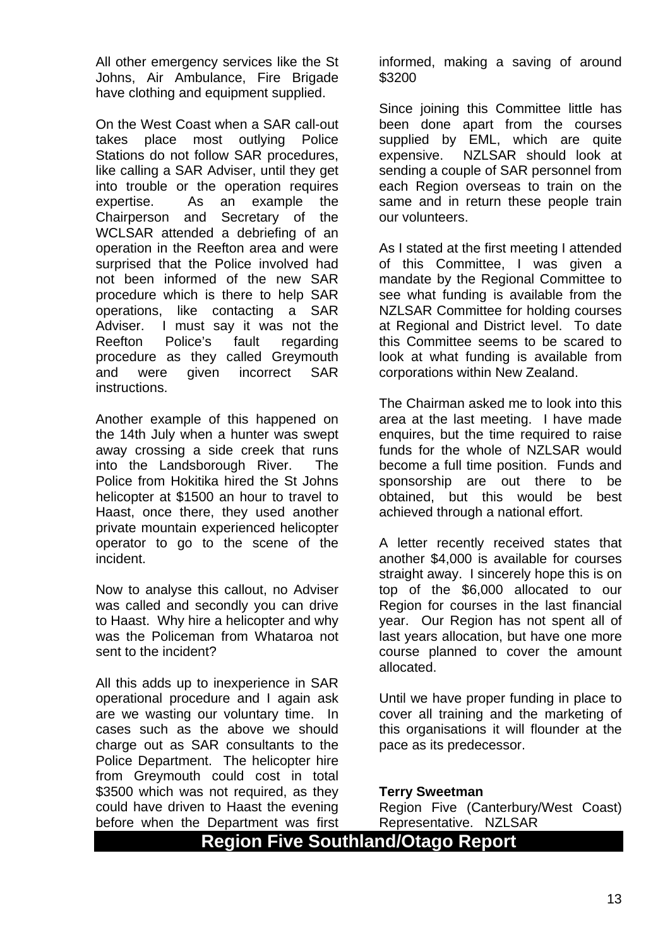All other emergency services like the St Johns, Air Ambulance, Fire Brigade have clothing and equipment supplied.

On the West Coast when a SAR call-out takes place most outlying Police Stations do not follow SAR procedures, like calling a SAR Adviser, until they get into trouble or the operation requires expertise. As an example the Chairperson and Secretary of the WCLSAR attended a debriefing of an operation in the Reefton area and were surprised that the Police involved had not been informed of the new SAR procedure which is there to help SAR operations, like contacting a SAR Adviser. I must say it was not the Reefton Police's fault regarding procedure as they called Greymouth and were given incorrect SAR instructions.

Another example of this happened on the 14th July when a hunter was swept away crossing a side creek that runs into the Landsborough River. The Police from Hokitika hired the St Johns helicopter at \$1500 an hour to travel to Haast, once there, they used another private mountain experienced helicopter operator to go to the scene of the incident.

Now to analyse this callout, no Adviser was called and secondly you can drive to Haast. Why hire a helicopter and why was the Policeman from Whataroa not sent to the incident?

All this adds up to inexperience in SAR operational procedure and I again ask are we wasting our voluntary time. In cases such as the above we should charge out as SAR consultants to the Police Department. The helicopter hire from Greymouth could cost in total \$3500 which was not required, as they could have driven to Haast the evening before when the Department was first

informed, making a saving of around \$3200

Since joining this Committee little has been done apart from the courses supplied by EML, which are quite expensive. NZLSAR should look at sending a couple of SAR personnel from each Region overseas to train on the same and in return these people train our volunteers.

As I stated at the first meeting I attended of this Committee, I was given a mandate by the Regional Committee to see what funding is available from the NZLSAR Committee for holding courses at Regional and District level. To date this Committee seems to be scared to look at what funding is available from corporations within New Zealand.

The Chairman asked me to look into this area at the last meeting. I have made enquires, but the time required to raise funds for the whole of NZLSAR would become a full time position. Funds and sponsorship are out there to be obtained, but this would be best achieved through a national effort.

A letter recently received states that another \$4,000 is available for courses straight away. I sincerely hope this is on top of the \$6,000 allocated to our Region for courses in the last financial year. Our Region has not spent all of last years allocation, but have one more course planned to cover the amount allocated.

Until we have proper funding in place to cover all training and the marketing of this organisations it will flounder at the pace as its predecessor.

#### **Terry Sweetman**

Region Five (Canterbury/West Coast) Representative. NZLSAR

# **Region Five Southland/Otago Report**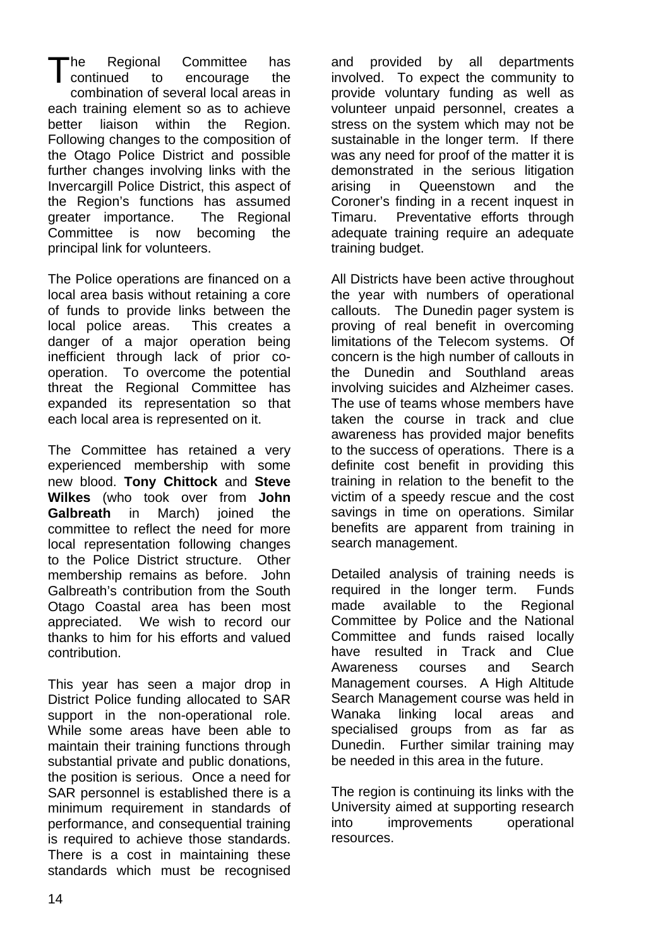he Regional Committee has to encourage the combination of several local areas in each training element so as to achieve better liaison within the Region. Following changes to the composition of the Otago Police District and possible further changes involving links with the Invercargill Police District, this aspect of the Region's functions has assumed greater importance. The Regional Committee is now becoming the principal link for volunteers. continued

The Police operations are financed on a local area basis without retaining a core of funds to provide links between the local police areas. This creates a danger of a major operation being inefficient through lack of prior cooperation. To overcome the potential threat the Regional Committee has expanded its representation so that each local area is represented on it.

The Committee has retained a very experienced membership with some new blood. **Tony Chittock** and **Steve Wilkes** (who took over from **John Galbreath** in March) joined the committee to reflect the need for more local representation following changes to the Police District structure. Other membership remains as before. John Galbreath's contribution from the South Otago Coastal area has been most appreciated. We wish to record our thanks to him for his efforts and valued contribution.

This year has seen a major drop in District Police funding allocated to SAR support in the non-operational role. While some areas have been able to maintain their training functions through substantial private and public donations, the position is serious. Once a need for SAR personnel is established there is a minimum requirement in standards of performance, and consequential training is required to achieve those standards. There is a cost in maintaining these standards which must be recognised and provided by all departments involved. To expect the community to provide voluntary funding as well as volunteer unpaid personnel, creates a stress on the system which may not be sustainable in the longer term. If there was any need for proof of the matter it is demonstrated in the serious litigation arising in Queenstown and the Coroner's finding in a recent inquest in Timaru. Preventative efforts through adequate training require an adequate training budget.

All Districts have been active throughout the year with numbers of operational callouts. The Dunedin pager system is proving of real benefit in overcoming limitations of the Telecom systems. Of concern is the high number of callouts in the Dunedin and Southland areas involving suicides and Alzheimer cases. The use of teams whose members have taken the course in track and clue awareness has provided major benefits to the success of operations. There is a definite cost benefit in providing this training in relation to the benefit to the victim of a speedy rescue and the cost savings in time on operations. Similar benefits are apparent from training in search management.

Detailed analysis of training needs is required in the longer term. Funds made available to the Regional Committee by Police and the National Committee and funds raised locally have resulted in Track and Clue Awareness courses and Search Management courses. A High Altitude Search Management course was held in Wanaka linking local areas and specialised groups from as far as Dunedin. Further similar training may be needed in this area in the future.

The region is continuing its links with the University aimed at supporting research into improvements operational resources.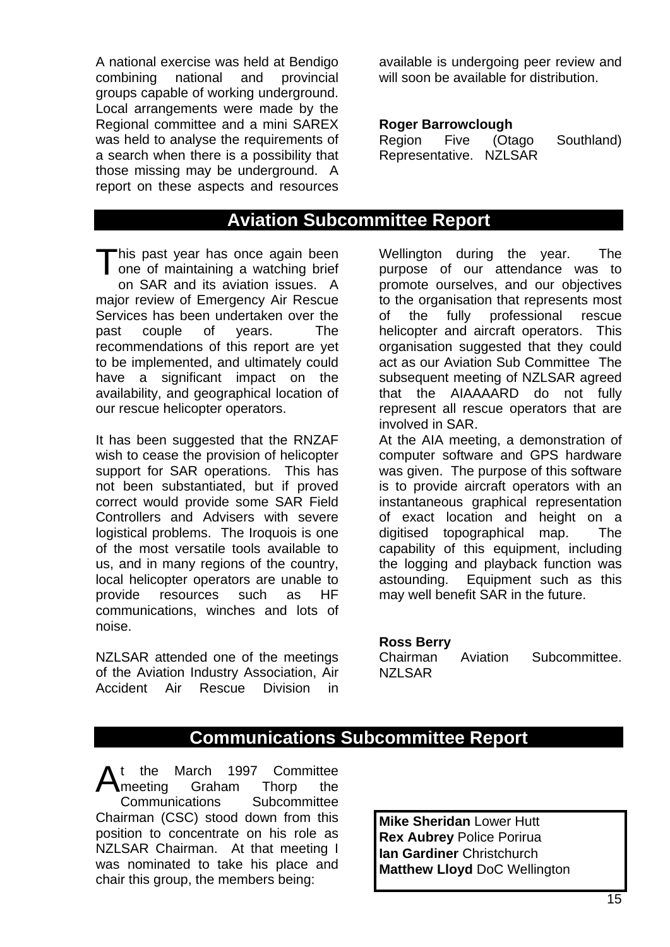A national exercise was held at Bendigo combining national and provincial groups capable of working underground. Local arrangements were made by the Regional committee and a mini SAREX was held to analyse the requirements of a search when there is a possibility that those missing may be underground. A report on these aspects and resources

available is undergoing peer review and will soon be available for distribution.

#### **Roger Barrowclough**

| Region | Five | (Otago                 | Southland) |
|--------|------|------------------------|------------|
|        |      | Representative. NZLSAR |            |

## **Aviation Subcommittee Report**

his past year has once again been This past year has once again been<br>
one of maintaining a watching brief on SAR and its aviation issues. A major review of Emergency Air Rescue Services has been undertaken over the past couple of years. The recommendations of this report are yet to be implemented, and ultimately could have a significant impact on the availability, and geographical location of our rescue helicopter operators.

It has been suggested that the RNZAF wish to cease the provision of helicopter support for SAR operations. This has not been substantiated, but if proved correct would provide some SAR Field Controllers and Advisers with severe logistical problems. The Iroquois is one of the most versatile tools available to us, and in many regions of the country, local helicopter operators are unable to provide resources such as HF communications, winches and lots of noise.

NZLSAR attended one of the meetings of the Aviation Industry Association, Air Accident Air Rescue Division in

Wellington during the year. The purpose of our attendance was to promote ourselves, and our objectives to the organisation that represents most of the fully professional rescue helicopter and aircraft operators. This organisation suggested that they could act as our Aviation Sub Committee The subsequent meeting of NZLSAR agreed that the AIAAAARD do not fully represent all rescue operators that are involved in SAR.

At the AIA meeting, a demonstration of computer software and GPS hardware was given. The purpose of this software is to provide aircraft operators with an instantaneous graphical representation of exact location and height on a digitised topographical map. The capability of this equipment, including the logging and playback function was astounding. Equipment such as this may well benefit SAR in the future.

#### **Ross Berry**

| Chairman      | Aviation | Subcommittee. |
|---------------|----------|---------------|
| <b>NZLSAR</b> |          |               |

# **Communications Subcommittee Report**

t the March 1997 Committee meeting Graham Thorp the Communications Subcommittee Chairman (CSC) stood down from this position to concentrate on his role as NZLSAR Chairman. At that meeting I was nominated to take his place and chair this group, the members being: A

**Mike Sheridan** Lower Hutt **Rex Aubrey** Police Porirua **Ian Gardiner** Christchurch **Matthew Lloyd** DoC Wellington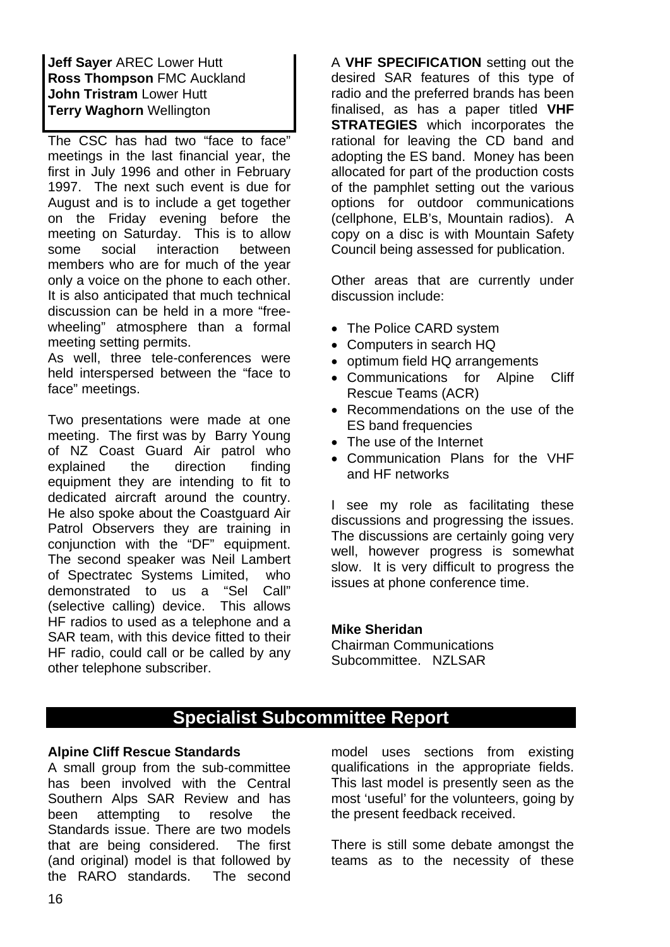**Jeff Sayer** AREC Lower Hutt **Ross Thompson** FMC Auckland **John Tristram** Lower Hutt **Terry Waghorn** Wellington

The CSC has had two "face to face" meetings in the last financial year, the first in July 1996 and other in February 1997. The next such event is due for August and is to include a get together on the Friday evening before the meeting on Saturday. This is to allow some social interaction between members who are for much of the year only a voice on the phone to each other. It is also anticipated that much technical discussion can be held in a more "freewheeling" atmosphere than a formal meeting setting permits.

held interspersed between the "face to As well, three tele-conferences were face" meetings.

Two presentations were made at one meeting. The first was by Barry Young of NZ Coast Guard Air patrol who explained the direction finding equipment they are intending to fit to dedicated aircraft around the country. He also spoke about the Coastguard Air Patrol Observers they are training in conjunction with the "DF" equipment. The second speaker was Neil Lambert of Spectratec Systems Limited, who demonstrated to us a "Sel Call" (selective calling) device. This allows HF radios to used as a telephone and a SAR team, with this device fitted to their HF radio, could call or be called by any other telephone subscriber.

**VHF SPECIFICATION** setting out the A desired SAR features of this type of radio and the preferred brands has been finalised, as has a paper titled **VHF STRATEGIES** which incorporates the rational for leaving the CD band and adopting the ES band. Money has been allocated for part of the production costs of the pamphlet setting out the various options for outdoor communications (cellphone, ELB's, Mountain radios). A copy on a disc is with Mountain Safety Council being assessed for publication.

Other areas that are currently under discussion include:

- The Police CARD system
- Computers in search HQ
- optimum field HQ arrangements
- Cliff • Communications for Alpine Rescue Teams (ACR)
- Recommendations on the use of the ES band frequencies
- The use of the Internet
- Communication Plans for the VHF and HF networks

I see my role as facilitating these discussions and progressing the issues. The discussions are certainly going very well, however progress is somewhat slow. It is very difficult to progress the issues at phone conference time.

#### **Mike Sheridan**

Chairman Communications Subcommittee. NZLSAR

# **Specialist Subcommittee Report**

#### **Alpine Cliff Rescue Standards**

A small group from the sub-committee has been involved with the Central Southern Alps SAR Review and has been attempting to resolve the Standards issue. There are two models that are being considered. The first (and original) model is that followed by the RARO standards. The second model uses sections from existing qualifications in the appropriate fields. This last model is presently seen as the most 'useful' for the volunteers, going by the present feedback received.

There is still some debate amongst the teams as to the necessity of these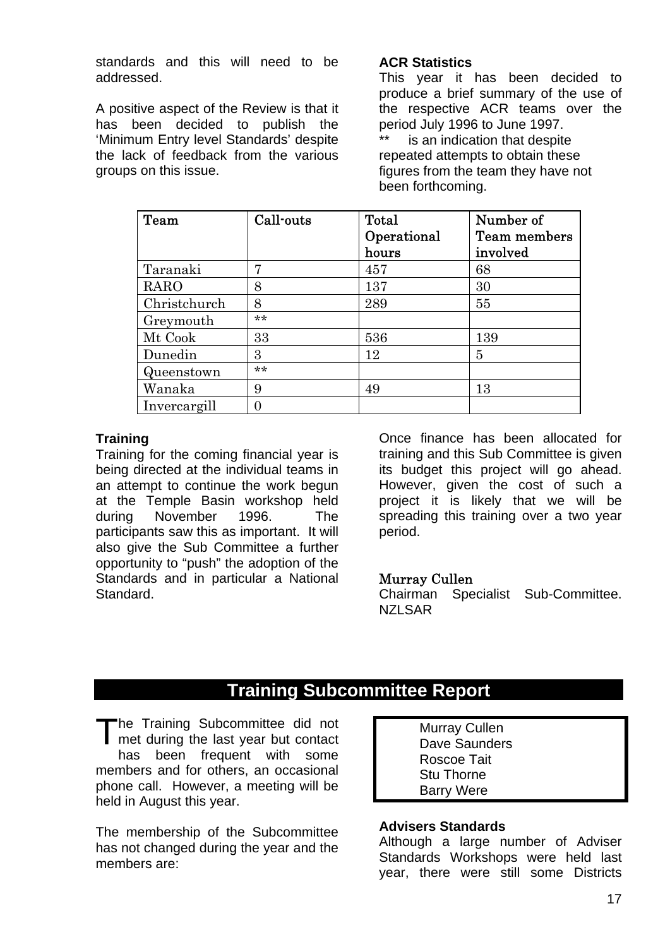standards and this will need to be addressed.

A positive aspect of the Review is that it has been decided to publish the 'Minimum Entry level Standards' despite the lack of feedback from the various groups on this issue.

#### **ACR Statistics**

This year it has been decided to produce a brief summary of the use of the respective ACR teams over the period July 1996 to June 1997.

is an indication that despite repeated attempts to obtain these figures from the team they have not been forthcoming.

| Team         | Call-outs | <b>Total</b>         | Number of                |
|--------------|-----------|----------------------|--------------------------|
|              |           | Operational<br>hours | Team members<br>involved |
|              |           |                      |                          |
| Taranaki     | 7         | 457                  | 68                       |
| RARO         | 8         | 137                  | 30                       |
| Christchurch | 8         | 289                  | 55                       |
| Greymouth    | $***$     |                      |                          |
| Mt Cook      | 33        | 536                  | 139                      |
| Dunedin      | 3         | 12                   | 5                        |
| Queenstown   | **        |                      |                          |
| Wanaka       | 9         | 49                   | 13                       |
| Invercargill | 0         |                      |                          |

#### **Trainin g**

Training for the coming financial year is being directed at the individual teams in an attempt to continue the work begun at the Temple Basin workshop held during November 1996. The participants saw this as important. It will also give the Sub Committee a further opportunity to "push" the adoption of the Standards and in particular a National Standard.

Once finance has been allocated for training and this Sub Committee is given its budget this project will go ahead. However, given the cost of such a project it is likely that we will be spreading this training over a two year period.

### Murray Cullen

Chairman Specialist Sub-Committee. NZI SAR

# **Training Subcommittee Report**

The Training Subcommittee did not Murray Cullen<br>
met during the last year but contact Dave Saunder met during the last year but contact has been frequent with some members and for others, an occasional phone call. However, a meeting will be held in August this year.

The membership of the Subcommittee has not changed during the year and the members are:

 Dave Saunders Roscoe Tait Stu Thorne Barry Were

## **Advisers Standards**

Although a large number of Adviser Standards Workshops were held last year, there were still some Districts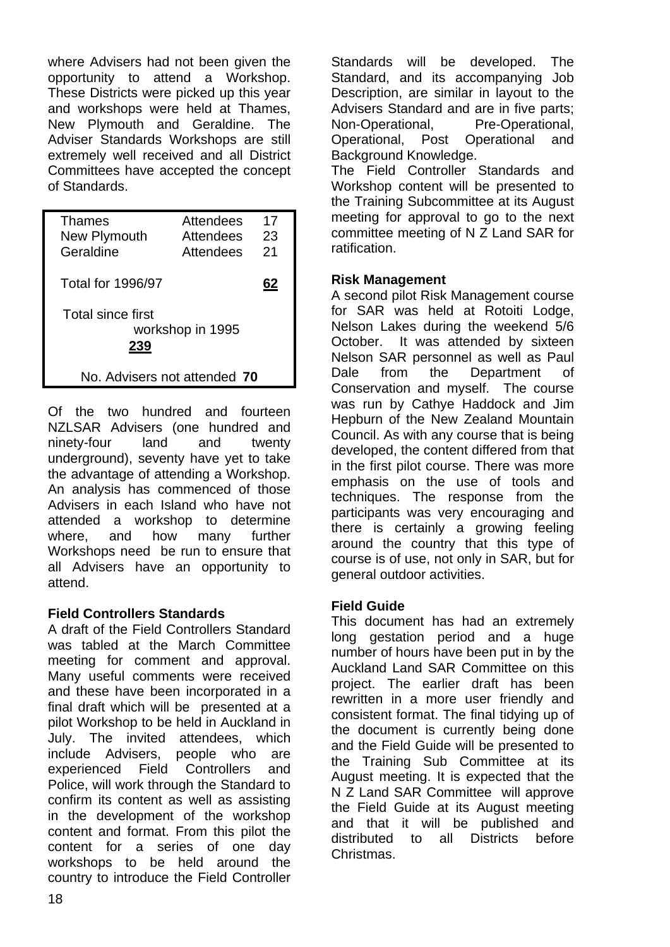where Advisers had not been given the opportunity to attend a Workshop. These Districts were picked up this year and workshops were held at Thames, New Plymouth and Geraldine. The Adviser Standards Workshops are still extremely well received and all District Committees have accepted the concept of Standards.

| Thames<br>New Plymouth<br>Geraldine          | Attendees<br>Attendees<br>Attendees | 17<br>23<br>21 |
|----------------------------------------------|-------------------------------------|----------------|
| Total for 1996/97                            |                                     | 62             |
| Total since first<br>workshop in 1995<br>239 |                                     |                |
| No. Advisers not attended 70                 |                                     |                |

Of the two hundred and fo urteen NZLSAR Adviser s (one hundred and ninety-four land and twenty underground), seventy have yet to take the advantage of attending a Workshop. An analysis has commenced of those Advisers in each Island who have not attended a workshop to determine where, and how many further Workshops need be run to ensure that all Advisers have an opportunity to attend.

## **Field Controllers Standards**

meeting for comment and approval. Many useful comments were received and these have been incorporated in a A draft of the Field Controllers Standard was tabled at the March Committee final draft which will be presented at a pilot Workshop to be held in Auckland in July. The invited attendees, which include Advisers, people who are experienced Field Controllers and Police, will work through the Standard to confirm its content as well as assisting in the development of the workshop content and format. From this pilot the content for a series of one day workshops to be held around the country to introduce the Field Controller

Standards will be developed. The Standard, and its accompanying Job Description, are similar in layout to the Advisers Standard and are in five parts; Non-Operational, Pre-Operational, Operational, Post Operational and Background Knowledge.

committee meeting of N Z Land SAR for The Field Controller Standards and Workshop content will be presented to the Training Subcommittee at its August meeting for approval to go to the next ratification.

## **Risk Management**

Nelson Lakes during the weekend 5/6 October. It was attended by sixteen Nelson SAR personnel as well as Paul A second pilot Risk Management course for SAR was held at Rotoiti Lodge, Dale from the Department of Conservation and myself. The course was run by Cathye Haddock and Jim Hepburn of the New Zealand Mountain Council. As with any course that is being developed, the content differed from that in the first pilot course. There was more emphasis on the use of tools and techniques. The response from the participants was very encouraging and there is certainly a growing feeling around the country that this type of course is of use, not only in SAR, but for general outdoor activities.

## **Field Guide**

number of hours have been put in by the Auckland Land SAR Committee on this project. The earlier draft has been This document has had an extremely long gestation period and a huge rewritten in a more user friendly and consistent format. The final tidying up of the document is currently being done and the Field Guide will be presented to the Training Sub Committee at its August meeting. It is expected that the N Z Land SAR Committee will approve the Field Guide at its August meeting and that it will be published and distributed to all Districts before Christmas.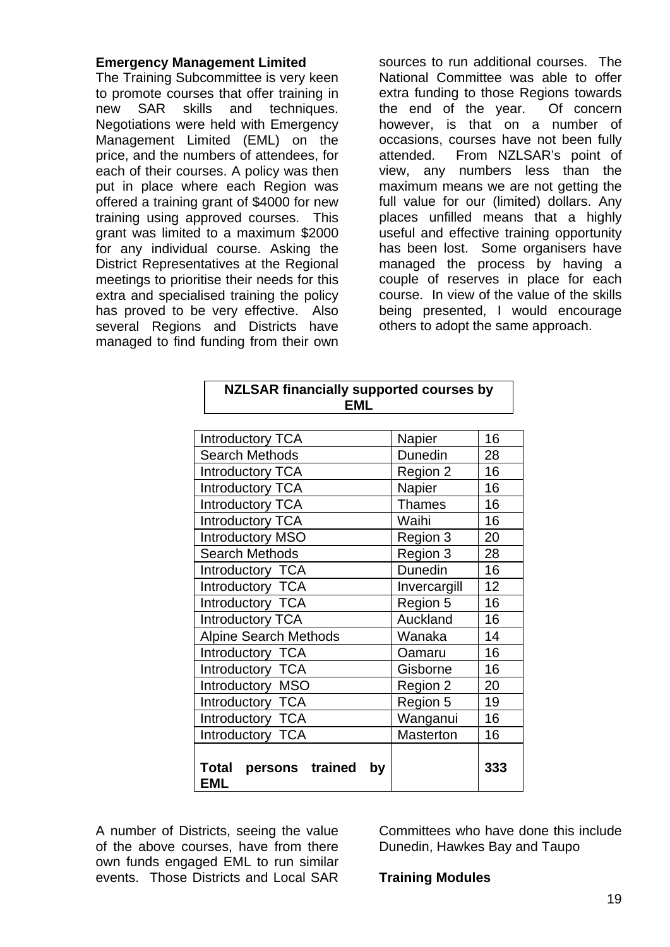#### **Emergency Management Limited**

skills and techniques. Negotiations were held with Emergency Management Limited (EML) on the The Training Subcommittee is very keen to promote courses that offer training in new SAR price, and the numbers of attendees, for each of their courses. A policy was then put in place where each Region was offered a training grant of \$4000 for new training using approved courses. This grant was limited to a maximum \$2000 for any individual course. Asking the District Representatives at the Regional meetings to prioritise their needs for this extra and specialised training the policy has proved to be very effective. Also several Regions and Districts have managed to find funding from their own

sources to run additional courses. The National Committee was able to offer extra funding to those Regions towards the end of the year. Of concern however, is that on a number of occasions, courses have not been fully attended. From NZLSAR's point of view, any numbers less than the maximum means we are not getting the full value for our (limited) dollars. Any places unfilled means that a highly useful and effective training opportunity has been lost. Some organisers have managed the process by having a couple of reserves in place for each course. In view of the value of the skills being presented, I would encourage others to adopt the same approach.

| <b>NZLSAR financially supported courses by</b><br><b>EML</b> |                  |     |
|--------------------------------------------------------------|------------------|-----|
| <b>Introductory TCA</b>                                      | Napier           | 16  |
| <b>Search Methods</b>                                        | Dunedin          | 28  |
| <b>Introductory TCA</b>                                      | Region 2         | 16  |
| <b>Introductory TCA</b>                                      | Napier           | 16  |
| <b>Introductory TCA</b>                                      | <b>Thames</b>    | 16  |
| <b>Introductory TCA</b>                                      | Waihi            | 16  |
| <b>Introductory MSO</b>                                      | Region 3         | 20  |
| <b>Search Methods</b>                                        | Region 3         | 28  |
| Introductory TCA                                             | Dunedin          | 16  |
| Introductory TCA                                             | Invercargill     | 12  |
| Introductory TCA                                             | Region 5         | 16  |
| <b>Introductory TCA</b>                                      | Auckland         | 16  |
| <b>Alpine Search Methods</b>                                 | Wanaka           | 14  |
| Introductory TCA                                             | Oamaru           | 16  |
| Introductory TCA                                             | Gisborne         | 16  |
| Introductory MSO                                             | Region 2         | 20  |
| Introductory TCA                                             | Region 5         | 19  |
| Introductory TCA                                             | Wanganui         | 16  |
| Introductory TCA                                             | <b>Masterton</b> | 16  |
| Total<br>persons trained<br>by<br><b>EML</b>                 |                  | 333 |

A number of Districts, seeing the value of the above courses, have from there own funds engaged EML to run similar events. Those Districts and Local SAR **Training Modules** 

Committees who have done this include Dunedin, Hawkes Bay and Taupo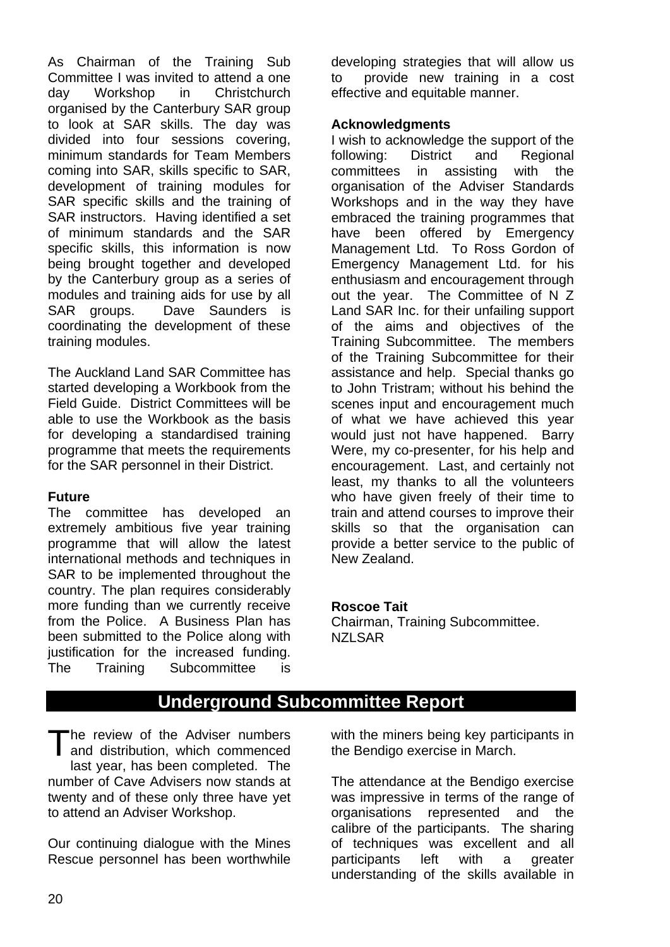Committee I was invited to attend a one Workshop in Christchurch As Chairman of the Training Sub dav organised by the Canterbury SAR group to look at SAR skills. The day was divided into four sessions covering, minimum standards for Team Members coming into SAR, skills specific to SAR, development of training modules for SAR specific skills and the training of SAR instructors. Having identified a set of minimum standards and the SAR specific skills, this information is now being brought together and developed by the Canterbury group as a series of modules and training aids for use by all SAR groups. Dave Saunders is coordinating the development of these training modules.

Field Guide. District Committees will be able to use the Workbook as the basis The Auckland Land SAR Committee has started developing a Workbook from the for developing a standardised training programme that meets the requirements for the SAR personnel in their District.

#### **Future**

extremely ambitious five year training programme that will allow the latest international methods and techniques in The committee has developed an SAR to be implemented throughout the country. The plan requires considerably more funding than we currently receive from the Police. A Business Plan has been submitted to the Police along with justification for the increased funding. The Training Subcommittee is developing strategies that will allow us to provide new training in a cost effective and equitable manner.

#### **Acknowledgments**

I wish to acknowledge the support of the and Regional following: District committees in assisting with the organisation of the Adviser Standards Workshops and in the way they have embraced the training programmes that have been offered by Emergency Management Ltd. To Ross Gordon of Emergency Management Ltd. for his enthusiasm and encouragement through out the year. The Committee of N Z Land SAR Inc. for their unfailing support of the aims and objectives of the Training Subcommittee. The members of the Training Subcommittee for their assistance and help. Special thanks go to John Tristram; without his behind the scenes input and encouragement much of what we have achieved this year would just not have happened. Barry Were, my co-presenter, for his help and encouragement. Last, and certainly not least, my thanks to all the volunteers who have given freely of their time to train and attend courses to improve their skills so that the organisation can provide a better service to the public of New Zealand.

#### **oscoe Tait R**

Chairman, Training Subcommittee. **NZLSAR** 

# **Underground Subcommittee Report**

The review of the Adviser numbers The review of the Adviser numbers<br>and distribution, which commenced last year, has been completed. The number of Cave Advisers now stands at twenty and of these only three have yet to attend an Adviser Workshop.

Our continuing dialogue with the Mines Rescue personnel has been worthwhile

the Adviser numbers with the miners being key participants in the Bendigo exercise in March.

> organisations represented and the calibre of the participants. The sharing The attendance at the Bendigo exercise was impressive in terms of the range of of techniques was excellent and all participants left with a greater understanding of the skills available in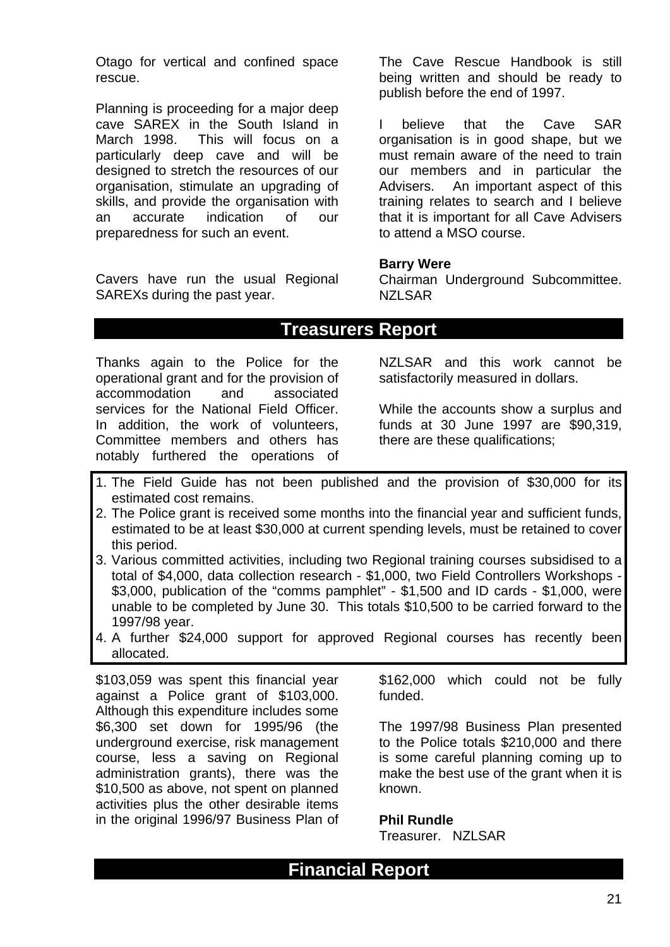Otago for vertical and confined space rescue.

This will focus on a particularly deep cave and will be Planning is proceeding for a major deep cave SAREX in the South Island in March 1998. designed to stretch the resources of our organisation, stimulate an upgrading of skills, and provide the organisation with an accurate indication of our preparedness for such an event.

Cavers have run the usual Regional SAREXs during the past year.

being written and should be ready to The Cave Rescue Handbook is still publish before the end of 1997.

Cave SAR organisation is in good shape, but we I believe that the must remain aware of the need to train our members and in particular the Advisers. An important aspect of this training relates to search and I believe that it is important for all Cave Advisers to attend a MSO course.

#### **Barry Were**

Chairman Underground Subcommittee. NZLSAR

## **Treasurers Report**

Thanks again to the Police for the NZLSAR operational grant and for the provision of accommodation and associated services for the National Field Officer. In addition, the work of volunteers, Committee members and others has notably furthered the operations of

NZLSAR and this work cannot be satisfactorily measured in dollars.

While the accounts show a surplus and funds at 30 June 1997 are \$90,319, there are these qualifications;

- 1. The Field Guide has not been published and the provision of \$30,000 for its estimated cost remains.
- 2. The Police grant is received some months into the financial year and sufficient funds, estimated to be at least \$30,000 at current spending levels, must be retained to cover this period.
- 3. Various committed activities, including two Regional training courses subsidised to a total of \$4,000, data collection research - \$1,000, two Field Controllers Workshops - \$3,000, publication of the "comms pamphlet" - \$1,500 and ID cards - \$1,000, were unable to be completed by June 30. This totals \$10,500 to be carried forward to the 1997/98 year.
- 4. A further \$24,000 support for approved Regional courses has recently been allocated.

\$103,059 was spent this financial year \$162,000 which could not be fully against a Police grant of \$103,000. funded. Although this expenditure includes some \$6,300 set down for 1995/96 (the underground exercise, risk management course, less a saving on Regional administration grants), there was the \$10,500 as above, not spent on planned activities plus the other desirable items in the original 1996/97 Business Plan of

The 1997/98 Business Plan presented to the Police totals  $$210,000$  and there is some careful planning coming up to make the best use of the grant when it is known.

#### **Phil Rundle**

Treasurer. NZLSAR

# **Financial Report**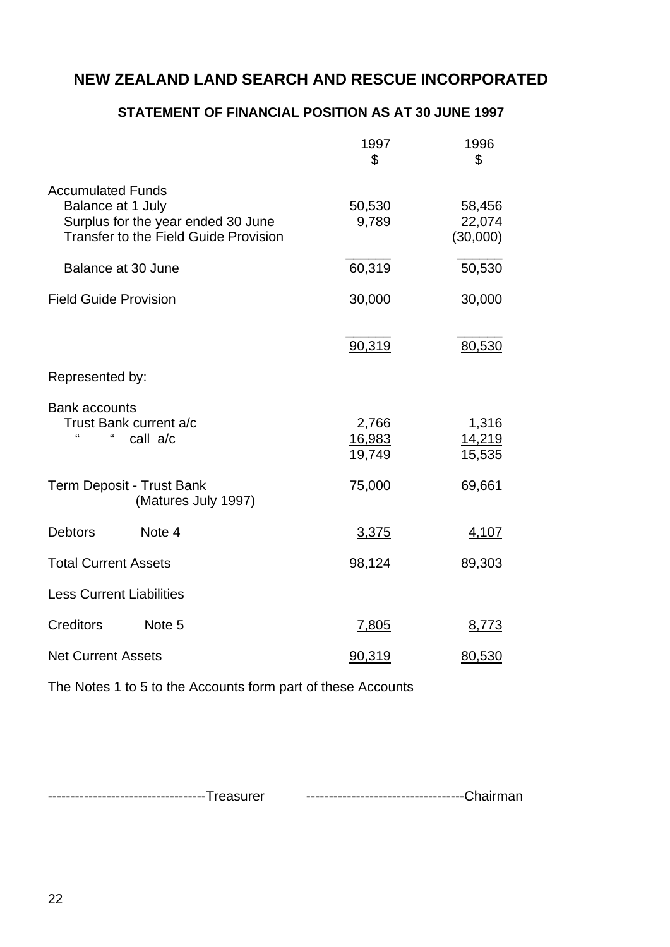## **STATEMENT OF FINANCIAL POSITION AS AT 30 JUNE 1997**

|                                                                                                                                     | 1997<br>\$                | 1996<br>\$                   |
|-------------------------------------------------------------------------------------------------------------------------------------|---------------------------|------------------------------|
| <b>Accumulated Funds</b><br>Balance at 1 July<br>Surplus for the year ended 30 June<br><b>Transfer to the Field Guide Provision</b> | 50,530<br>9,789           | 58,456<br>22,074<br>(30,000) |
| Balance at 30 June                                                                                                                  | 60,319                    | 50,530                       |
| <b>Field Guide Provision</b>                                                                                                        | 30,000                    | 30,000                       |
|                                                                                                                                     | 90,319                    | 80,530                       |
| Represented by:                                                                                                                     |                           |                              |
| <b>Bank accounts</b><br>Trust Bank current a/c<br>$\blacksquare$<br>"<br>call a/c                                                   | 2,766<br>16,983<br>19,749 | 1,316<br>14,219<br>15,535    |
| <b>Term Deposit - Trust Bank</b><br>(Matures July 1997)                                                                             | 75,000                    | 69,661                       |
| <b>Debtors</b><br>Note 4                                                                                                            | 3,375                     | 4,107                        |
| <b>Total Current Assets</b>                                                                                                         | 98,124                    | 89,303                       |
| <b>Less Current Liabilities</b>                                                                                                     |                           |                              |
| <b>Creditors</b><br>Note <sub>5</sub>                                                                                               | 7,805                     | 8,773                        |
| <b>Net Current Assets</b>                                                                                                           | 90,319                    | 80,530                       |

The Notes 1 to 5 to the Accounts form part of these Accounts

-----------------------------------Treasurer -----------------------------------Chairman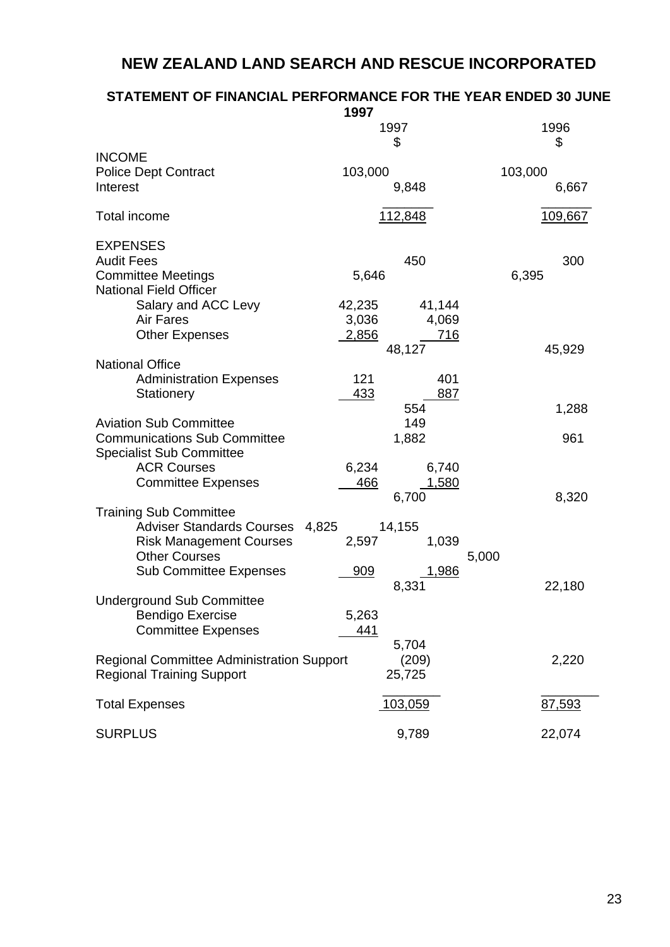## **STATEMENT OF FINANCIAL PERFORMANCE FOR THE YEAR ENDED 30 JUNE**

|                                                  | 1997             |                |
|--------------------------------------------------|------------------|----------------|
|                                                  | 1997             | 1996           |
|                                                  | \$               | \$             |
| <b>INCOME</b>                                    |                  |                |
| <b>Police Dept Contract</b>                      | 103,000          | 103,000        |
| Interest                                         | 9,848            | 6,667          |
|                                                  |                  |                |
| <b>Total income</b>                              | 112,848          | <u>109,667</u> |
| <b>EXPENSES</b>                                  |                  |                |
| <b>Audit Fees</b>                                | 450              | 300            |
| <b>Committee Meetings</b>                        | 5,646            | 6,395          |
| <b>National Field Officer</b>                    |                  |                |
| Salary and ACC Levy                              | 41,144<br>42,235 |                |
| Air Fares                                        | 3,036<br>4,069   |                |
| <b>Other Expenses</b>                            | 2,856<br>716     |                |
|                                                  | 48,127           | 45,929         |
| <b>National Office</b>                           |                  |                |
| <b>Administration Expenses</b>                   | 121<br>401       |                |
| Stationery                                       | 433<br>887       |                |
|                                                  | 554              | 1,288          |
| <b>Aviation Sub Committee</b>                    | 149              |                |
| <b>Communications Sub Committee</b>              | 1,882            | 961            |
| <b>Specialist Sub Committee</b>                  |                  |                |
| <b>ACR Courses</b>                               | 6,234<br>6,740   |                |
| <b>Committee Expenses</b>                        | 466<br>1,580     |                |
|                                                  | 6,700            | 8,320          |
| <b>Training Sub Committee</b>                    |                  |                |
| Adviser Standards Courses 4,825                  | 14,155           |                |
| <b>Risk Management Courses</b>                   | 2,597<br>1,039   |                |
| <b>Other Courses</b>                             | 5,000            |                |
| <b>Sub Committee Expenses</b>                    | 909<br>1,986     |                |
|                                                  | 8,331            | 22,180         |
| <b>Underground Sub Committee</b>                 |                  |                |
| <b>Bendigo Exercise</b>                          | 5,263            |                |
| <b>Committee Expenses</b>                        | 441              |                |
|                                                  | 5,704            |                |
| <b>Regional Committee Administration Support</b> | (209)            | 2,220          |
| <b>Regional Training Support</b>                 | 25,725           |                |
| <b>Total Expenses</b>                            | <u>103,059</u>   | 87,593         |
|                                                  |                  |                |
| <b>SURPLUS</b>                                   | 9,789            | 22,074         |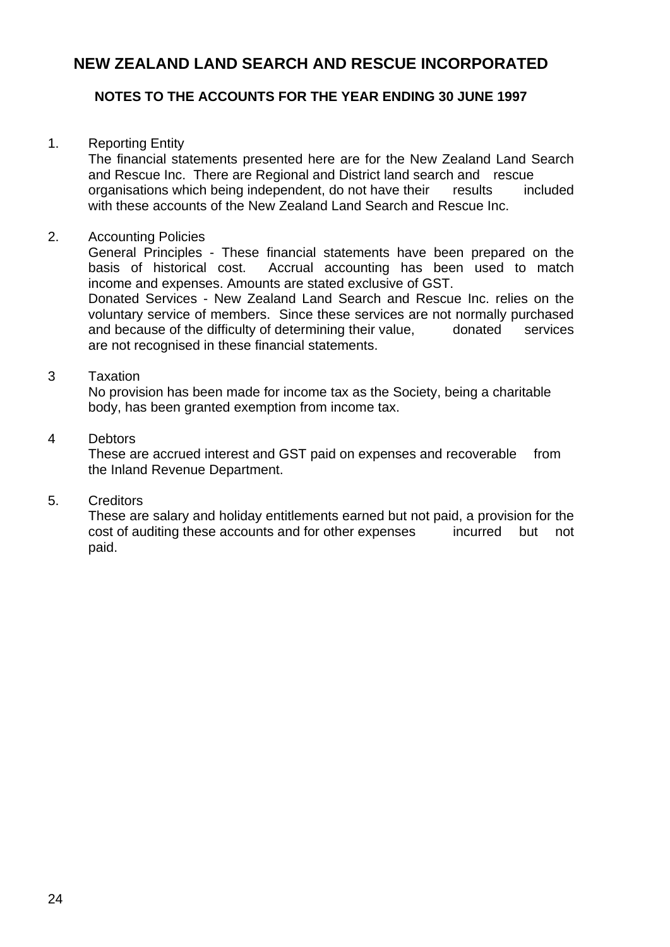## **NOTES TO THE ACCOUNTS FOR THE YEAR ENDING 30 JUNE 1997**

### 1. Reporting Entity

The financial statements presented here are for the New Zealand Land Search and Rescue Inc. There are Regional and District land search and rescue organisations which being independent, do not have their results included with these accounts of the New Zealand Land Search and Rescue Inc.

## 2. Accounting Policies

 General Principles - These financial statements have been prepared on the basis of historical cost. Accrual accounting has been used to match income and expenses. Amounts are stated exclusive of GST.

Donated Services - New Zealand Land Search and Rescue Inc. relies on the voluntary service of members. Since these services are not normally purchased and because of the difficulty of determining their value, donated services are not recognised in these financial statements.

## 3 Taxation

 No provision has been made for income tax as the Society, being a charitable body, has been granted exemption from income tax.

#### 4 Debtors

 These are accrued interest and GST paid on expenses and recoverable from the Inland Revenue Department.

#### 5. Creditors

These are salary and holiday entitlements earned but not paid, a provision for the cost of auditing these accounts and for other expenses incurred but not paid.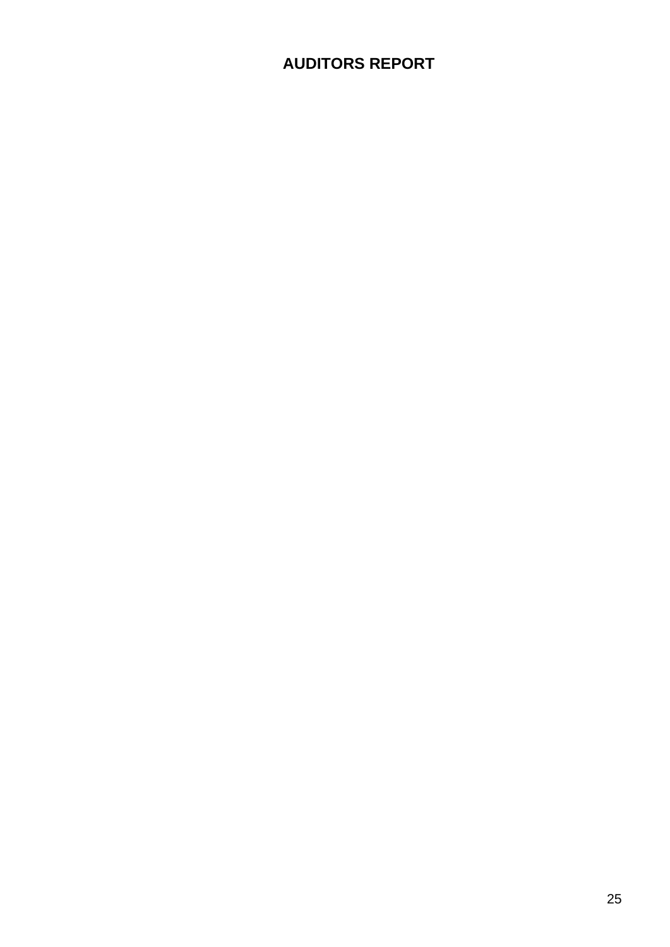# **AUDITORS REPORT**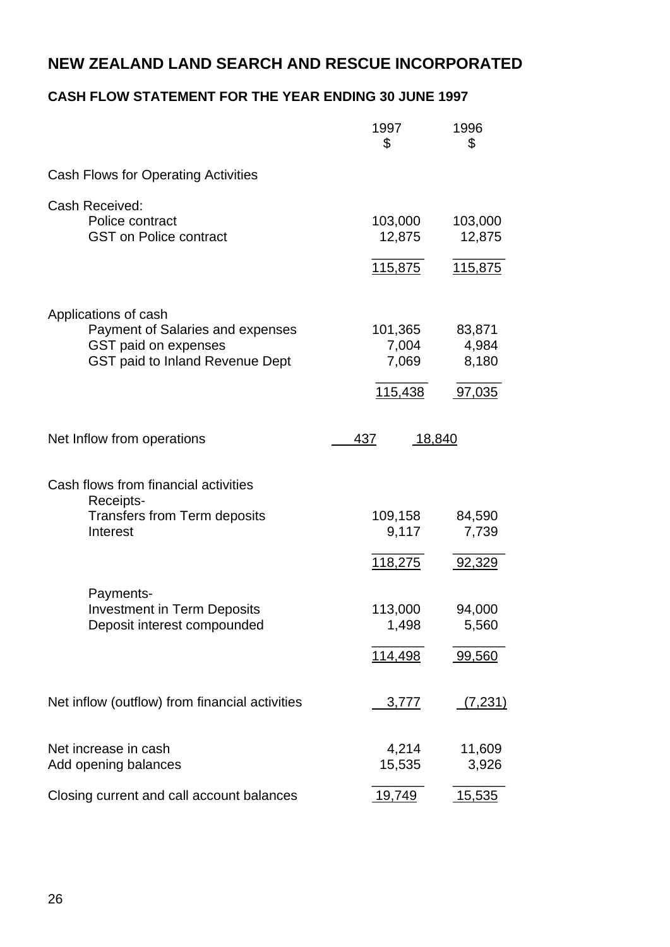## **CASH FLOW STATEMENT FOR THE YEAR ENDING 30 JUNE 1997**

|                                                  | 1997<br>\$        | 1996<br>\$      |
|--------------------------------------------------|-------------------|-----------------|
| <b>Cash Flows for Operating Activities</b>       |                   |                 |
| Cash Received:                                   |                   |                 |
| Police contract<br><b>GST on Police contract</b> | 103,000<br>12,875 | 103,000         |
|                                                  |                   | 12,875          |
|                                                  | <u>115,875</u>    | 115,875         |
| Applications of cash                             |                   |                 |
| Payment of Salaries and expenses                 | 101,365           | 83,871          |
| GST paid on expenses                             | 7,004             | 4,984           |
| <b>GST paid to Inland Revenue Dept</b>           | 7,069             | 8,180           |
|                                                  | 115,438           | 97,035          |
| Net Inflow from operations                       | 437<br>18,840     |                 |
| Cash flows from financial activities             |                   |                 |
| Receipts-                                        |                   |                 |
| <b>Transfers from Term deposits</b><br>Interest  | 109,158<br>9,117  | 84,590<br>7,739 |
|                                                  |                   |                 |
|                                                  | <u>118,275</u>    | 92,329          |
| Payments-                                        |                   |                 |
| <b>Investment in Term Deposits</b>               | 113,000           | 94,000          |
| Deposit interest compounded                      | 1,498             | 5,560           |
|                                                  | 114,498           | 99,560          |
| Net inflow (outflow) from financial activities   | 3,777             | (7,231)         |
| Net increase in cash                             | 4,214             | 11,609          |
| Add opening balances                             | 15,535            | 3,926           |
| Closing current and call account balances        | 19,749            | <u>15,535</u>   |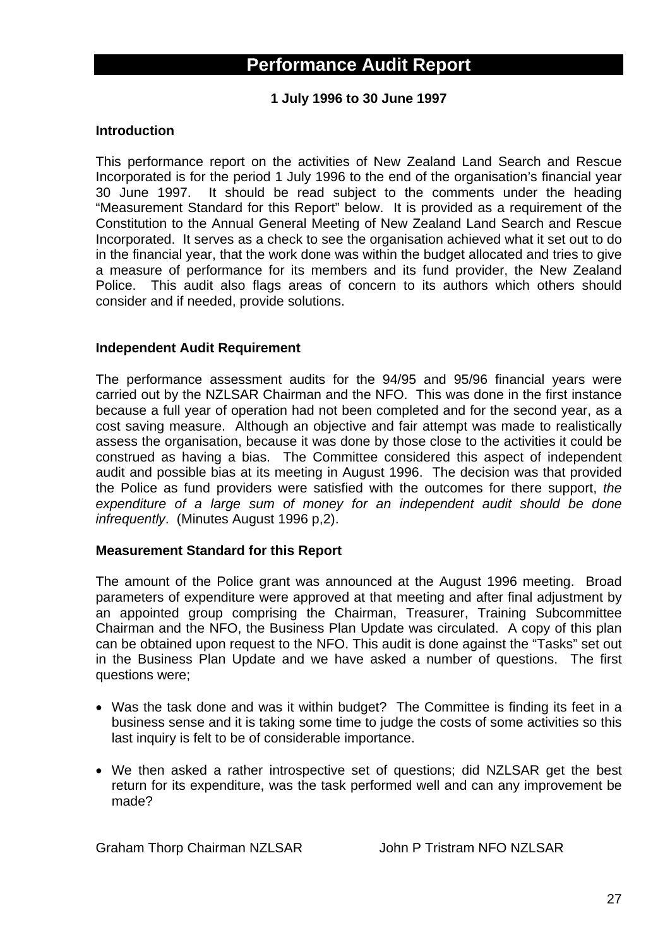# **Performance Audit Report**

**1 July 1996 to 30 June 1997** 

#### **Introduction**

This performance report on the activities of New Zealand Land Search and Rescue Incorporated is for the period 1 July 1996 to the end of the organisation's financial year 30 June 1997. It should be read subject to the comments under the heading "Measurement Standard for this Report" below. It is provided as a requirement of the Constitution to the Annual General Meeting of New Zealand Land Search and Rescue Incorporated. It serves as a check to see the organisation achieved what it set out to do in the financial year, that the work done was within the budget allocated and tries to give a measure of performance for its members and its fund provider, the New Zealand Police. This audit also flags areas of concern to its authors which others should consider and if needed, provide solutions.

#### **Independent Audit Requirement**

The performance assessment audits for the 94/95 and 95/96 financial years were carried out by the NZLSAR Chairman and the NFO. This was done in the first instance because a full year of operation had not been completed and for the second year, as a cost saving measure. Although an objective and fair attempt was made to realistically assess the organisation, because it was done by those close to the activities it could be construed as having a bias. The Committee considered this aspect of independent audit and possible bias at its meeting in August 1996. The decision was that provided the Police as fund providers were satisfied with the outcomes for there support, *the expenditure of a large sum of money for an independent audit should be done infrequently*. (Minutes August 1996 p,2).

#### **Measurement Standard for this Report**

The amount of the Police grant was announced at the August 1996 meeting. Broad parameters of expenditure were approved at that meeting and after final adjustment by an appointed group comprising the Chairman, Treasurer, Training Subcommittee Chairman and the NFO, the Business Plan Update was circulated. A copy of this plan can be obtained upon request to the NFO. This audit is done against the "Tasks" set out in the Business Plan Update and we have asked a number of questions. The first questions were;

- Was the task done and was it within budget? The Committee is finding its feet in a business sense and it is taking some time to judge the costs of some activities so this last inquiry is felt to be of considerable importance.
- We then asked a rather introspective set of questions; did NZLSAR get the best return for its expenditure, was the task performed well and can any improvement be made?

Graham Thorp Chairman NZLSAR John P Tristram NFO NZLSAR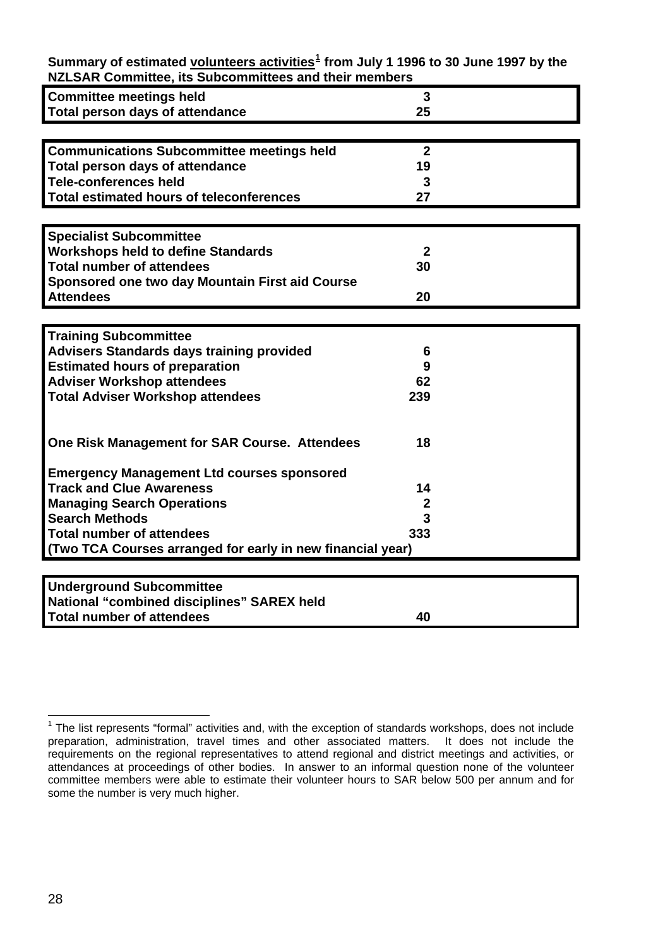| <u>INCLUMIN COMMUNICE, ILS JUDCOMMUNICES ANU INCIN MICHIDELS</u> |                  |  |
|------------------------------------------------------------------|------------------|--|
| <b>Committee meetings held</b>                                   | 3                |  |
| <b>Total person days of attendance</b>                           | 25               |  |
|                                                                  |                  |  |
| <b>Communications Subcommittee meetings held</b>                 | $\mathbf{2}$     |  |
| Total person days of attendance                                  | 19               |  |
| <b>Tele-conferences held</b>                                     | 3                |  |
| <b>Total estimated hours of teleconferences</b>                  | 27               |  |
|                                                                  |                  |  |
| <b>Specialist Subcommittee</b>                                   |                  |  |
| <b>Workshops held to define Standards</b>                        | $\mathbf{2}$     |  |
| <b>Total number of attendees</b>                                 | 30               |  |
| Sponsored one two day Mountain First aid Course                  |                  |  |
| <b>Attendees</b>                                                 | 20               |  |
|                                                                  |                  |  |
| <b>Training Subcommittee</b>                                     |                  |  |
| <b>Advisers Standards days training provided</b>                 | 6                |  |
| <b>Estimated hours of preparation</b>                            | 9                |  |
| <b>Adviser Workshop attendees</b>                                | 62               |  |
| <b>Total Adviser Workshop attendees</b>                          | 239              |  |
|                                                                  |                  |  |
| One Risk Management for SAR Course. Attendees                    | 18               |  |
|                                                                  |                  |  |
| <b>Emergency Management Ltd courses sponsored</b>                |                  |  |
| <b>Track and Clue Awareness</b>                                  | 14               |  |
| <b>Managing Search Operations</b>                                | $\boldsymbol{2}$ |  |
| <b>Search Methods</b>                                            | 3                |  |
| <b>Total number of attendees</b>                                 | 333              |  |
| (Two TCA Courses arranged for early in new financial year)       |                  |  |
|                                                                  |                  |  |
| <b>Underground Subcommittee</b>                                  |                  |  |
| National "combined disciplines" SAREX held                       |                  |  |

**Summary of estimated volunteers activities[1](#page-27-0) from July 1 1996 to 30 June 1997 by the NZLSAR Committee, its Subcommittees and their members** 

**Total number of attendees 40** 

<span id="page-27-0"></span>l  $1$  The list represents "formal" activities and, with the exception of standards workshops, does not include preparation, administration, travel times and other associated matters. It does not include the requirements on the regional representatives to attend regional and district meetings and activities, or attendances at proceedings of other bodies. In answer to an informal question none of the volunteer committee members were able to estimate their volunteer hours to SAR below 500 per annum and for some the number is very much higher.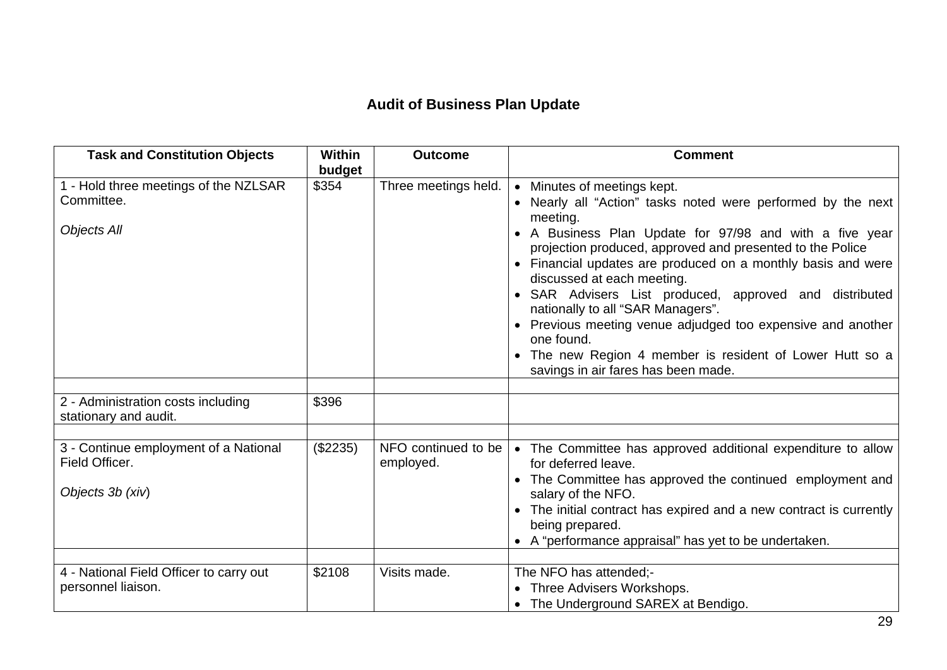# **Audit of Business Plan Update**

| <b>Task and Constitution Objects</b>                                        | <b>Within</b><br>budget | <b>Outcome</b>                   | <b>Comment</b>                                                                                                                                                                                                                                                                                                                                                                                                                                                                                                                                                                                               |
|-----------------------------------------------------------------------------|-------------------------|----------------------------------|--------------------------------------------------------------------------------------------------------------------------------------------------------------------------------------------------------------------------------------------------------------------------------------------------------------------------------------------------------------------------------------------------------------------------------------------------------------------------------------------------------------------------------------------------------------------------------------------------------------|
| 1 - Hold three meetings of the NZLSAR<br>Committee.<br><b>Objects All</b>   | \$354                   | Three meetings held.             | • Minutes of meetings kept.<br>• Nearly all "Action" tasks noted were performed by the next<br>meeting.<br>• A Business Plan Update for 97/98 and with a five year<br>projection produced, approved and presented to the Police<br>• Financial updates are produced on a monthly basis and were<br>discussed at each meeting.<br>• SAR Advisers List produced, approved and distributed<br>nationally to all "SAR Managers".<br>• Previous meeting venue adjudged too expensive and another<br>one found.<br>• The new Region 4 member is resident of Lower Hutt so a<br>savings in air fares has been made. |
| 2 - Administration costs including<br>stationary and audit.                 | \$396                   |                                  |                                                                                                                                                                                                                                                                                                                                                                                                                                                                                                                                                                                                              |
| 3 - Continue employment of a National<br>Field Officer.<br>Objects 3b (xiv) | (\$2235)                | NFO continued to be<br>employed. | • The Committee has approved additional expenditure to allow<br>for deferred leave.<br>• The Committee has approved the continued employment and<br>salary of the NFO.<br>The initial contract has expired and a new contract is currently<br>$\bullet$<br>being prepared.<br>• A "performance appraisal" has yet to be undertaken.                                                                                                                                                                                                                                                                          |
| 4 - National Field Officer to carry out<br>personnel liaison.               | \$2108                  | Visits made.                     | The NFO has attended;-<br>Three Advisers Workshops.<br>• The Underground SAREX at Bendigo.                                                                                                                                                                                                                                                                                                                                                                                                                                                                                                                   |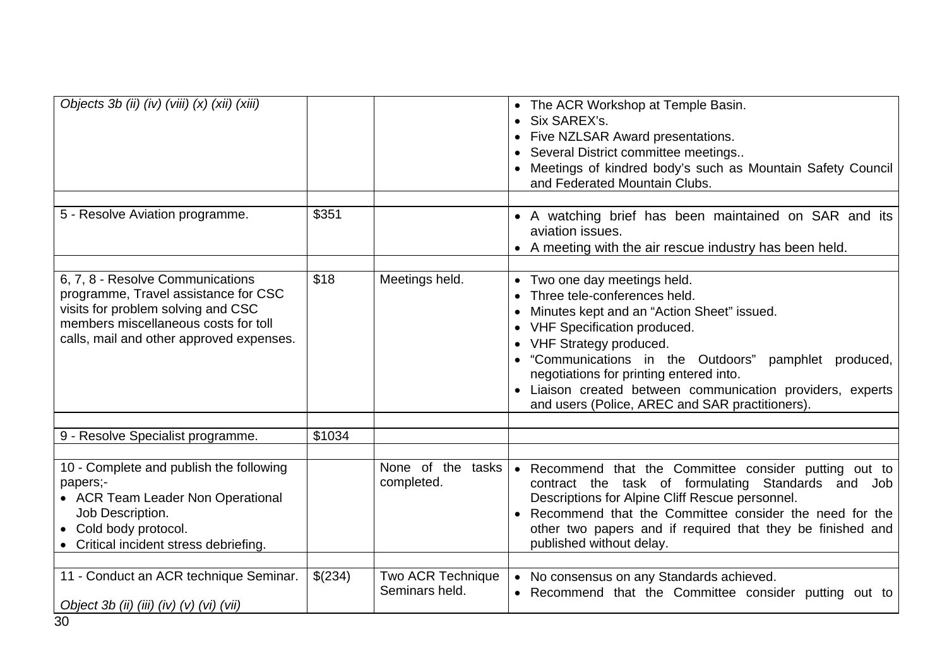| Objects 3b (ii) (iv) (viii) (x) (xii) (xiii)                                                                                                                                                       |         |                                     | • The ACR Workshop at Temple Basin.<br>• Six SAREX's.<br>• Five NZLSAR Award presentations.<br>• Several District committee meetings<br>• Meetings of kindred body's such as Mountain Safety Council<br>and Federated Mountain Clubs.                                                                                                                                                        |
|----------------------------------------------------------------------------------------------------------------------------------------------------------------------------------------------------|---------|-------------------------------------|----------------------------------------------------------------------------------------------------------------------------------------------------------------------------------------------------------------------------------------------------------------------------------------------------------------------------------------------------------------------------------------------|
| 5 - Resolve Aviation programme.                                                                                                                                                                    | \$351   |                                     | • A watching brief has been maintained on SAR and its<br>aviation issues.<br>• A meeting with the air rescue industry has been held.                                                                                                                                                                                                                                                         |
| 6, 7, 8 - Resolve Communications<br>programme, Travel assistance for CSC<br>visits for problem solving and CSC<br>members miscellaneous costs for toll<br>calls, mail and other approved expenses. | \$18    | Meetings held.                      | • Two one day meetings held.<br>Three tele-conferences held.<br>Minutes kept and an "Action Sheet" issued.<br>• VHF Specification produced.<br>• VHF Strategy produced.<br>• "Communications in the Outdoors" pamphlet produced,<br>negotiations for printing entered into.<br>• Liaison created between communication providers, experts<br>and users (Police, AREC and SAR practitioners). |
| 9 - Resolve Specialist programme.                                                                                                                                                                  | \$1034  |                                     |                                                                                                                                                                                                                                                                                                                                                                                              |
| 10 - Complete and publish the following<br>papers;-<br>• ACR Team Leader Non Operational<br>Job Description.<br>• Cold body protocol.<br>Critical incident stress debriefing.                      |         | None of the tasks<br>completed.     | • Recommend that the Committee consider putting out to<br>contract the task of formulating Standards and Job<br>Descriptions for Alpine Cliff Rescue personnel.<br>Recommend that the Committee consider the need for the<br>other two papers and if required that they be finished and<br>published without delay.                                                                          |
| 11 - Conduct an ACR technique Seminar.<br>Object 3b (ii) (iii) (iv) (v) (vi) (vii)                                                                                                                 | \$(234) | Two ACR Technique<br>Seminars held. | • No consensus on any Standards achieved.<br>• Recommend that the Committee consider putting out to                                                                                                                                                                                                                                                                                          |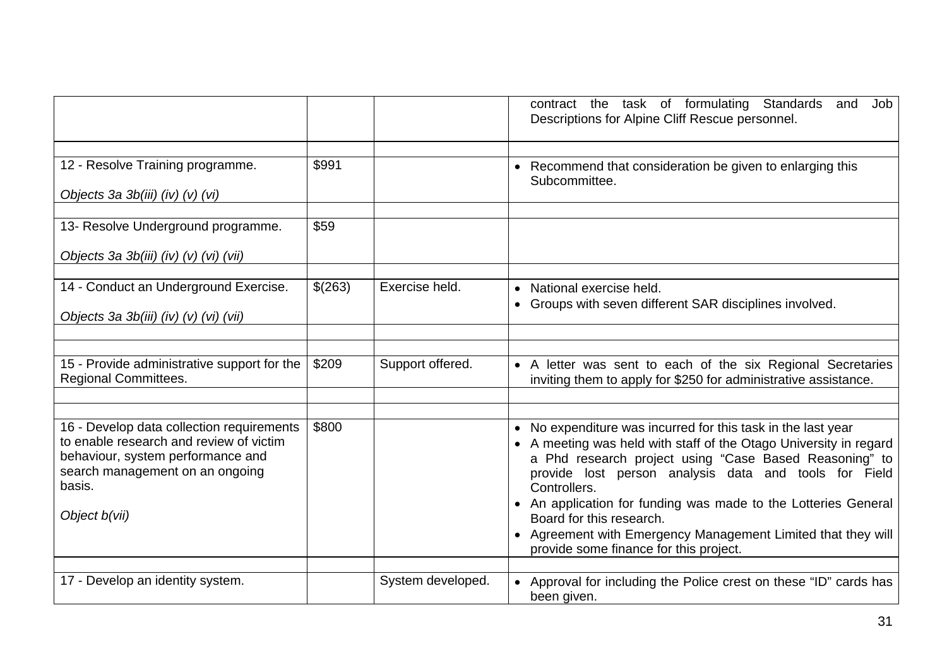|                                                                                                                                                                                         |         |                   | contract the task of formulating Standards and<br>Job<br>Descriptions for Alpine Cliff Rescue personnel.                                                                                                                                                                                                                                                                                                                                                                     |
|-----------------------------------------------------------------------------------------------------------------------------------------------------------------------------------------|---------|-------------------|------------------------------------------------------------------------------------------------------------------------------------------------------------------------------------------------------------------------------------------------------------------------------------------------------------------------------------------------------------------------------------------------------------------------------------------------------------------------------|
| 12 - Resolve Training programme.<br>Objects 3a 3b(iii) (iv) (v) (vi)                                                                                                                    | \$991   |                   | • Recommend that consideration be given to enlarging this<br>Subcommittee.                                                                                                                                                                                                                                                                                                                                                                                                   |
| 13- Resolve Underground programme.<br>Objects 3a 3b(iii) (iv) (v) (vi) (vii)                                                                                                            | \$59    |                   |                                                                                                                                                                                                                                                                                                                                                                                                                                                                              |
| 14 - Conduct an Underground Exercise.<br>Objects 3a 3b(iii) (iv) (v) (vi) (vii)                                                                                                         | \$(263) | Exercise held.    | • National exercise held.<br>• Groups with seven different SAR disciplines involved.                                                                                                                                                                                                                                                                                                                                                                                         |
| 15 - Provide administrative support for the<br><b>Regional Committees.</b>                                                                                                              | \$209   | Support offered.  | • A letter was sent to each of the six Regional Secretaries<br>inviting them to apply for \$250 for administrative assistance.                                                                                                                                                                                                                                                                                                                                               |
| 16 - Develop data collection requirements<br>to enable research and review of victim<br>behaviour, system performance and<br>search management on an ongoing<br>basis.<br>Object b(vii) | \$800   |                   | • No expenditure was incurred for this task in the last year<br>• A meeting was held with staff of the Otago University in regard<br>a Phd research project using "Case Based Reasoning" to<br>provide lost person analysis data and tools for Field<br>Controllers.<br>• An application for funding was made to the Lotteries General<br>Board for this research.<br>• Agreement with Emergency Management Limited that they will<br>provide some finance for this project. |
| 17 - Develop an identity system.                                                                                                                                                        |         | System developed. | • Approval for including the Police crest on these "ID" cards has<br>been given.                                                                                                                                                                                                                                                                                                                                                                                             |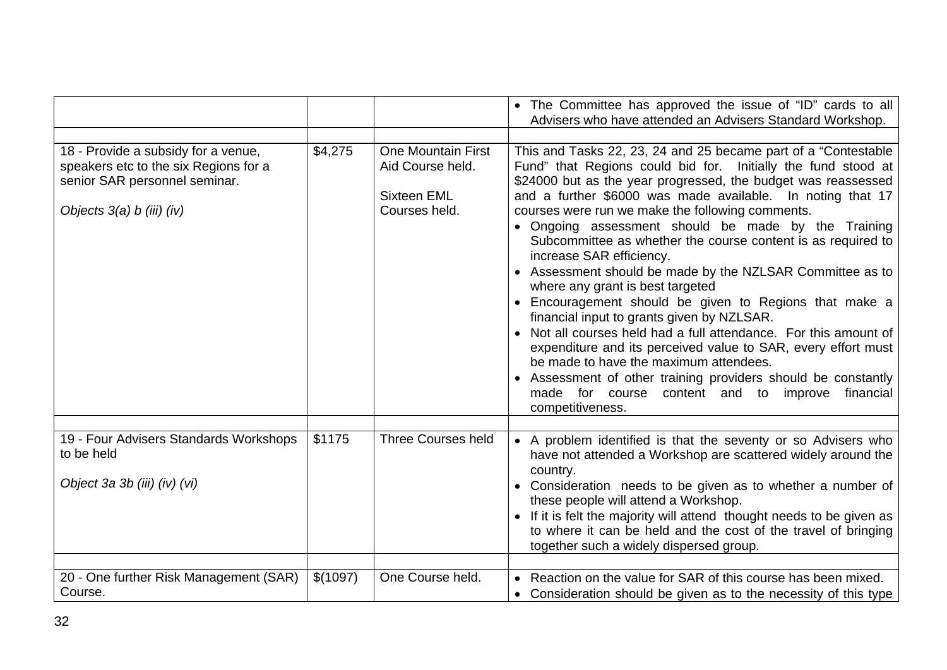|                                                                                                                                            |          |                                                                                      | • The Committee has approved the issue of "ID" cards to all<br>Advisers who have attended an Advisers Standard Workshop.                                                                                                                                                                                                                                                                                                                                                                                                                                                                                                                                                                                                                                                                                                                                                                                                                                                                                         |
|--------------------------------------------------------------------------------------------------------------------------------------------|----------|--------------------------------------------------------------------------------------|------------------------------------------------------------------------------------------------------------------------------------------------------------------------------------------------------------------------------------------------------------------------------------------------------------------------------------------------------------------------------------------------------------------------------------------------------------------------------------------------------------------------------------------------------------------------------------------------------------------------------------------------------------------------------------------------------------------------------------------------------------------------------------------------------------------------------------------------------------------------------------------------------------------------------------------------------------------------------------------------------------------|
| 18 - Provide a subsidy for a venue,<br>speakers etc to the six Regions for a<br>senior SAR personnel seminar.<br>Objects 3(a) b (iii) (iv) | \$4,275  | <b>One Mountain First</b><br>Aid Course held.<br><b>Sixteen EML</b><br>Courses held. | This and Tasks 22, 23, 24 and 25 became part of a "Contestable"<br>Fund" that Regions could bid for. Initially the fund stood at<br>\$24000 but as the year progressed, the budget was reassessed<br>and a further \$6000 was made available. In noting that 17<br>courses were run we make the following comments.<br>• Ongoing assessment should be made by the Training<br>Subcommittee as whether the course content is as required to<br>increase SAR efficiency.<br>• Assessment should be made by the NZLSAR Committee as to<br>where any grant is best targeted<br>• Encouragement should be given to Regions that make a<br>financial input to grants given by NZLSAR.<br>• Not all courses held had a full attendance. For this amount of<br>expenditure and its perceived value to SAR, every effort must<br>be made to have the maximum attendees.<br>• Assessment of other training providers should be constantly<br>made for course<br>improve<br>content and to<br>financial<br>competitiveness. |
| 19 - Four Advisers Standards Workshops<br>to be held<br>Object 3a 3b (iii) (iv) (vi)                                                       | \$1175   | <b>Three Courses held</b>                                                            | • A problem identified is that the seventy or so Advisers who<br>have not attended a Workshop are scattered widely around the<br>country.<br>• Consideration needs to be given as to whether a number of<br>these people will attend a Workshop.<br>• If it is felt the majority will attend thought needs to be given as<br>to where it can be held and the cost of the travel of bringing<br>together such a widely dispersed group.                                                                                                                                                                                                                                                                                                                                                                                                                                                                                                                                                                           |
| 20 - One further Risk Management (SAR)<br>Course.                                                                                          | \$(1097) | One Course held.                                                                     | • Reaction on the value for SAR of this course has been mixed.<br>• Consideration should be given as to the necessity of this type                                                                                                                                                                                                                                                                                                                                                                                                                                                                                                                                                                                                                                                                                                                                                                                                                                                                               |